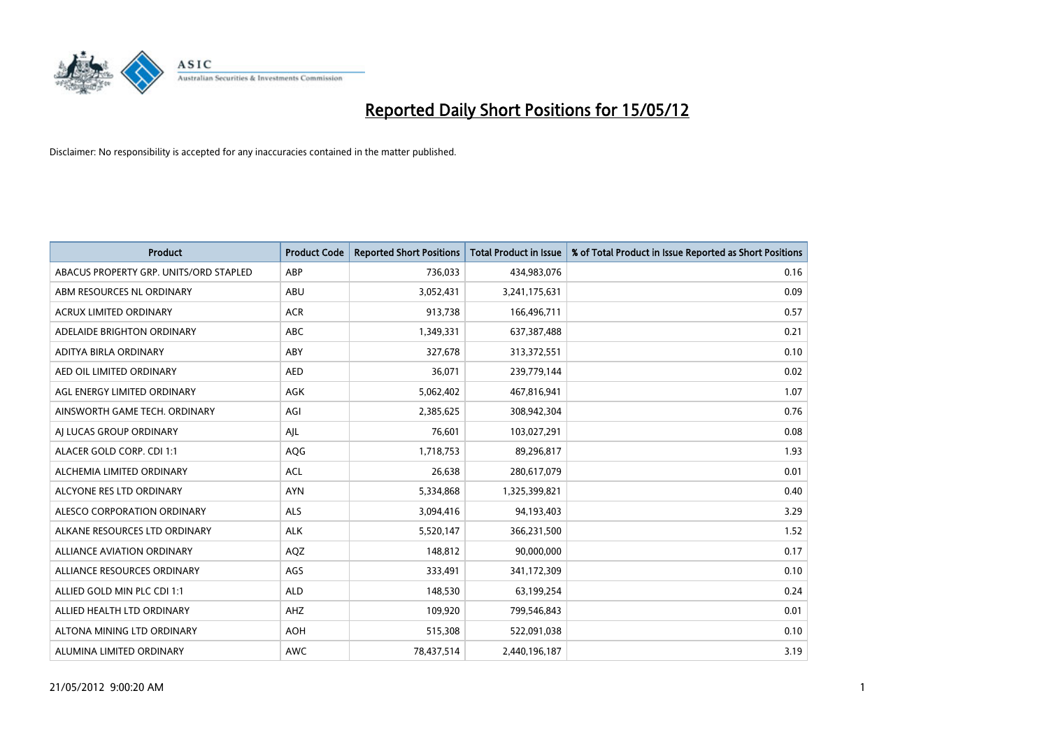

| <b>Product</b>                         | <b>Product Code</b> | <b>Reported Short Positions</b> | <b>Total Product in Issue</b> | % of Total Product in Issue Reported as Short Positions |
|----------------------------------------|---------------------|---------------------------------|-------------------------------|---------------------------------------------------------|
| ABACUS PROPERTY GRP. UNITS/ORD STAPLED | ABP                 | 736,033                         | 434,983,076                   | 0.16                                                    |
| ABM RESOURCES NL ORDINARY              | ABU                 | 3,052,431                       | 3,241,175,631                 | 0.09                                                    |
| <b>ACRUX LIMITED ORDINARY</b>          | <b>ACR</b>          | 913,738                         | 166,496,711                   | 0.57                                                    |
| ADELAIDE BRIGHTON ORDINARY             | <b>ABC</b>          | 1,349,331                       | 637, 387, 488                 | 0.21                                                    |
| ADITYA BIRLA ORDINARY                  | ABY                 | 327,678                         | 313,372,551                   | 0.10                                                    |
| AED OIL LIMITED ORDINARY               | <b>AED</b>          | 36,071                          | 239,779,144                   | 0.02                                                    |
| AGL ENERGY LIMITED ORDINARY            | AGK                 | 5,062,402                       | 467,816,941                   | 1.07                                                    |
| AINSWORTH GAME TECH. ORDINARY          | AGI                 | 2,385,625                       | 308,942,304                   | 0.76                                                    |
| AI LUCAS GROUP ORDINARY                | AJL                 | 76,601                          | 103,027,291                   | 0.08                                                    |
| ALACER GOLD CORP. CDI 1:1              | AQG                 | 1,718,753                       | 89,296,817                    | 1.93                                                    |
| ALCHEMIA LIMITED ORDINARY              | <b>ACL</b>          | 26,638                          | 280,617,079                   | 0.01                                                    |
| ALCYONE RES LTD ORDINARY               | <b>AYN</b>          | 5,334,868                       | 1,325,399,821                 | 0.40                                                    |
| ALESCO CORPORATION ORDINARY            | ALS                 | 3,094,416                       | 94,193,403                    | 3.29                                                    |
| ALKANE RESOURCES LTD ORDINARY          | <b>ALK</b>          | 5,520,147                       | 366,231,500                   | 1.52                                                    |
| <b>ALLIANCE AVIATION ORDINARY</b>      | AQZ                 | 148,812                         | 90,000,000                    | 0.17                                                    |
| ALLIANCE RESOURCES ORDINARY            | AGS                 | 333,491                         | 341,172,309                   | 0.10                                                    |
| ALLIED GOLD MIN PLC CDI 1:1            | <b>ALD</b>          | 148,530                         | 63,199,254                    | 0.24                                                    |
| ALLIED HEALTH LTD ORDINARY             | AHZ                 | 109,920                         | 799,546,843                   | 0.01                                                    |
| ALTONA MINING LTD ORDINARY             | <b>AOH</b>          | 515,308                         | 522,091,038                   | 0.10                                                    |
| ALUMINA LIMITED ORDINARY               | <b>AWC</b>          | 78,437,514                      | 2,440,196,187                 | 3.19                                                    |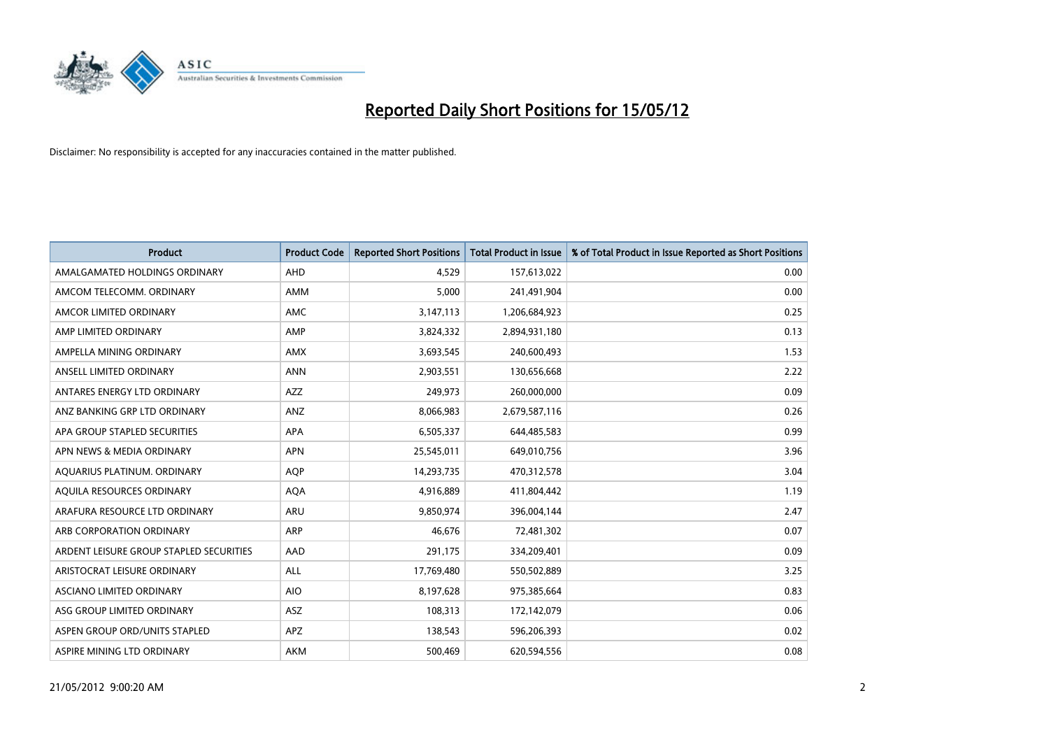

| <b>Product</b>                          | <b>Product Code</b> | <b>Reported Short Positions</b> | <b>Total Product in Issue</b> | % of Total Product in Issue Reported as Short Positions |
|-----------------------------------------|---------------------|---------------------------------|-------------------------------|---------------------------------------------------------|
| AMALGAMATED HOLDINGS ORDINARY           | AHD                 | 4,529                           | 157,613,022                   | 0.00                                                    |
| AMCOM TELECOMM, ORDINARY                | AMM                 | 5,000                           | 241,491,904                   | 0.00                                                    |
| AMCOR LIMITED ORDINARY                  | AMC                 | 3,147,113                       | 1,206,684,923                 | 0.25                                                    |
| AMP LIMITED ORDINARY                    | AMP                 | 3,824,332                       | 2,894,931,180                 | 0.13                                                    |
| AMPELLA MINING ORDINARY                 | <b>AMX</b>          | 3,693,545                       | 240,600,493                   | 1.53                                                    |
| ANSELL LIMITED ORDINARY                 | <b>ANN</b>          | 2,903,551                       | 130,656,668                   | 2.22                                                    |
| ANTARES ENERGY LTD ORDINARY             | AZZ                 | 249,973                         | 260,000,000                   | 0.09                                                    |
| ANZ BANKING GRP LTD ORDINARY            | ANZ                 | 8,066,983                       | 2,679,587,116                 | 0.26                                                    |
| APA GROUP STAPLED SECURITIES            | APA                 | 6,505,337                       | 644,485,583                   | 0.99                                                    |
| APN NEWS & MEDIA ORDINARY               | <b>APN</b>          | 25,545,011                      | 649,010,756                   | 3.96                                                    |
| AQUARIUS PLATINUM. ORDINARY             | <b>AQP</b>          | 14,293,735                      | 470,312,578                   | 3.04                                                    |
| AQUILA RESOURCES ORDINARY               | <b>AQA</b>          | 4,916,889                       | 411,804,442                   | 1.19                                                    |
| ARAFURA RESOURCE LTD ORDINARY           | ARU                 | 9,850,974                       | 396,004,144                   | 2.47                                                    |
| ARB CORPORATION ORDINARY                | ARP                 | 46,676                          | 72,481,302                    | 0.07                                                    |
| ARDENT LEISURE GROUP STAPLED SECURITIES | AAD                 | 291,175                         | 334,209,401                   | 0.09                                                    |
| ARISTOCRAT LEISURE ORDINARY             | ALL                 | 17,769,480                      | 550,502,889                   | 3.25                                                    |
| ASCIANO LIMITED ORDINARY                | <b>AIO</b>          | 8,197,628                       | 975,385,664                   | 0.83                                                    |
| ASG GROUP LIMITED ORDINARY              | ASZ                 | 108,313                         | 172,142,079                   | 0.06                                                    |
| ASPEN GROUP ORD/UNITS STAPLED           | <b>APZ</b>          | 138,543                         | 596,206,393                   | 0.02                                                    |
| ASPIRE MINING LTD ORDINARY              | <b>AKM</b>          | 500,469                         | 620,594,556                   | 0.08                                                    |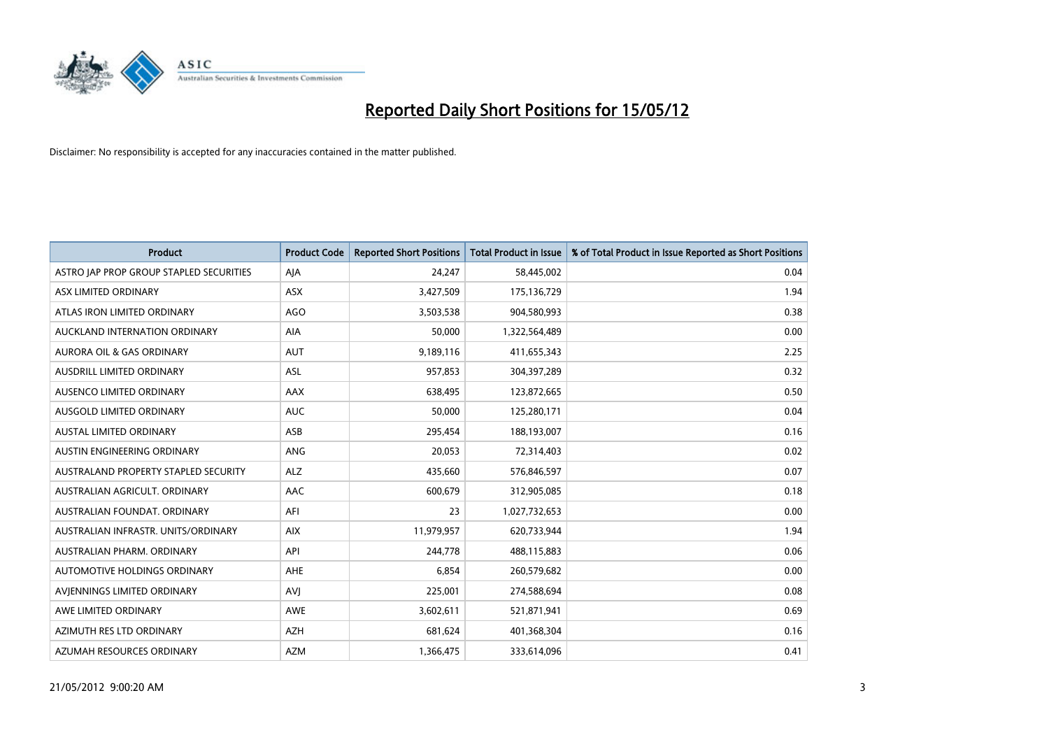

| <b>Product</b>                          | <b>Product Code</b> | <b>Reported Short Positions</b> | <b>Total Product in Issue</b> | % of Total Product in Issue Reported as Short Positions |
|-----------------------------------------|---------------------|---------------------------------|-------------------------------|---------------------------------------------------------|
| ASTRO JAP PROP GROUP STAPLED SECURITIES | AJA                 | 24,247                          | 58,445,002                    | 0.04                                                    |
| ASX LIMITED ORDINARY                    | ASX                 | 3,427,509                       | 175,136,729                   | 1.94                                                    |
| ATLAS IRON LIMITED ORDINARY             | AGO                 | 3,503,538                       | 904,580,993                   | 0.38                                                    |
| AUCKLAND INTERNATION ORDINARY           | <b>AIA</b>          | 50,000                          | 1,322,564,489                 | 0.00                                                    |
| <b>AURORA OIL &amp; GAS ORDINARY</b>    | <b>AUT</b>          | 9,189,116                       | 411,655,343                   | 2.25                                                    |
| AUSDRILL LIMITED ORDINARY               | ASL                 | 957,853                         | 304,397,289                   | 0.32                                                    |
| AUSENCO LIMITED ORDINARY                | AAX                 | 638,495                         | 123,872,665                   | 0.50                                                    |
| AUSGOLD LIMITED ORDINARY                | <b>AUC</b>          | 50,000                          | 125,280,171                   | 0.04                                                    |
| AUSTAL LIMITED ORDINARY                 | ASB                 | 295,454                         | 188,193,007                   | 0.16                                                    |
| AUSTIN ENGINEERING ORDINARY             | ANG                 | 20,053                          | 72,314,403                    | 0.02                                                    |
| AUSTRALAND PROPERTY STAPLED SECURITY    | <b>ALZ</b>          | 435,660                         | 576,846,597                   | 0.07                                                    |
| AUSTRALIAN AGRICULT, ORDINARY           | AAC                 | 600,679                         | 312,905,085                   | 0.18                                                    |
| AUSTRALIAN FOUNDAT, ORDINARY            | AFI                 | 23                              | 1,027,732,653                 | 0.00                                                    |
| AUSTRALIAN INFRASTR, UNITS/ORDINARY     | <b>AIX</b>          | 11,979,957                      | 620,733,944                   | 1.94                                                    |
| AUSTRALIAN PHARM, ORDINARY              | API                 | 244,778                         | 488,115,883                   | 0.06                                                    |
| AUTOMOTIVE HOLDINGS ORDINARY            | AHE                 | 6,854                           | 260,579,682                   | 0.00                                                    |
| AVIENNINGS LIMITED ORDINARY             | <b>AVJ</b>          | 225,001                         | 274,588,694                   | 0.08                                                    |
| AWE LIMITED ORDINARY                    | <b>AWE</b>          | 3,602,611                       | 521,871,941                   | 0.69                                                    |
| AZIMUTH RES LTD ORDINARY                | <b>AZH</b>          | 681,624                         | 401,368,304                   | 0.16                                                    |
| AZUMAH RESOURCES ORDINARY               | <b>AZM</b>          | 1,366,475                       | 333,614,096                   | 0.41                                                    |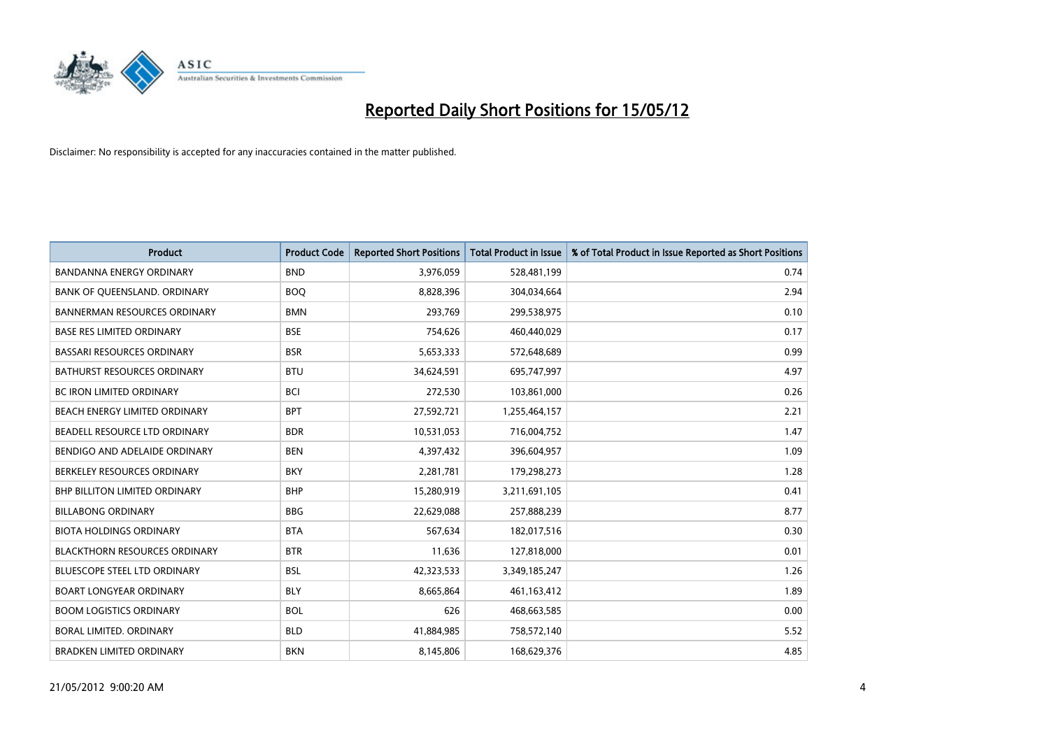

| <b>Product</b>                       | <b>Product Code</b> | <b>Reported Short Positions</b> | <b>Total Product in Issue</b> | % of Total Product in Issue Reported as Short Positions |
|--------------------------------------|---------------------|---------------------------------|-------------------------------|---------------------------------------------------------|
| <b>BANDANNA ENERGY ORDINARY</b>      | <b>BND</b>          | 3,976,059                       | 528,481,199                   | 0.74                                                    |
| BANK OF QUEENSLAND. ORDINARY         | <b>BOQ</b>          | 8,828,396                       | 304,034,664                   | 2.94                                                    |
| <b>BANNERMAN RESOURCES ORDINARY</b>  | <b>BMN</b>          | 293,769                         | 299,538,975                   | 0.10                                                    |
| <b>BASE RES LIMITED ORDINARY</b>     | <b>BSE</b>          | 754,626                         | 460,440,029                   | 0.17                                                    |
| <b>BASSARI RESOURCES ORDINARY</b>    | <b>BSR</b>          | 5,653,333                       | 572,648,689                   | 0.99                                                    |
| <b>BATHURST RESOURCES ORDINARY</b>   | <b>BTU</b>          | 34,624,591                      | 695,747,997                   | 4.97                                                    |
| <b>BC IRON LIMITED ORDINARY</b>      | <b>BCI</b>          | 272,530                         | 103,861,000                   | 0.26                                                    |
| BEACH ENERGY LIMITED ORDINARY        | <b>BPT</b>          | 27,592,721                      | 1,255,464,157                 | 2.21                                                    |
| BEADELL RESOURCE LTD ORDINARY        | <b>BDR</b>          | 10,531,053                      | 716,004,752                   | 1.47                                                    |
| BENDIGO AND ADELAIDE ORDINARY        | <b>BEN</b>          | 4,397,432                       | 396,604,957                   | 1.09                                                    |
| BERKELEY RESOURCES ORDINARY          | <b>BKY</b>          | 2,281,781                       | 179,298,273                   | 1.28                                                    |
| BHP BILLITON LIMITED ORDINARY        | <b>BHP</b>          | 15,280,919                      | 3,211,691,105                 | 0.41                                                    |
| <b>BILLABONG ORDINARY</b>            | <b>BBG</b>          | 22,629,088                      | 257,888,239                   | 8.77                                                    |
| <b>BIOTA HOLDINGS ORDINARY</b>       | <b>BTA</b>          | 567,634                         | 182,017,516                   | 0.30                                                    |
| <b>BLACKTHORN RESOURCES ORDINARY</b> | <b>BTR</b>          | 11,636                          | 127,818,000                   | 0.01                                                    |
| BLUESCOPE STEEL LTD ORDINARY         | <b>BSL</b>          | 42,323,533                      | 3,349,185,247                 | 1.26                                                    |
| <b>BOART LONGYEAR ORDINARY</b>       | <b>BLY</b>          | 8,665,864                       | 461,163,412                   | 1.89                                                    |
| <b>BOOM LOGISTICS ORDINARY</b>       | <b>BOL</b>          | 626                             | 468,663,585                   | 0.00                                                    |
| <b>BORAL LIMITED, ORDINARY</b>       | <b>BLD</b>          | 41,884,985                      | 758,572,140                   | 5.52                                                    |
| <b>BRADKEN LIMITED ORDINARY</b>      | <b>BKN</b>          | 8,145,806                       | 168,629,376                   | 4.85                                                    |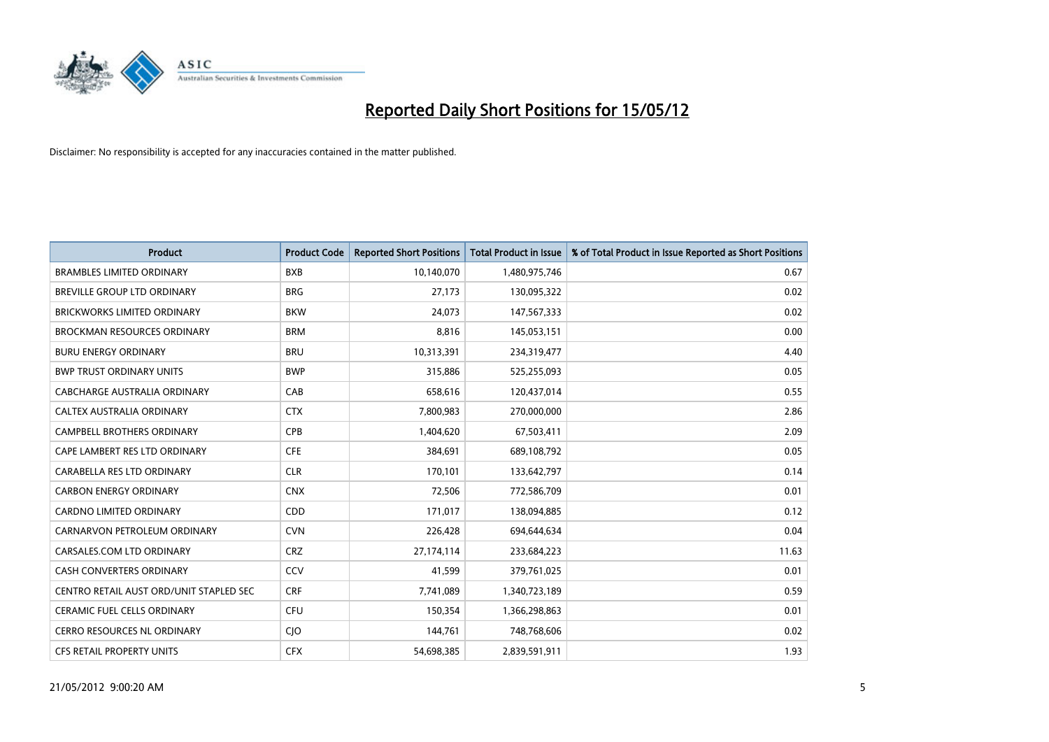

| <b>Product</b>                          | <b>Product Code</b> | <b>Reported Short Positions</b> | <b>Total Product in Issue</b> | % of Total Product in Issue Reported as Short Positions |
|-----------------------------------------|---------------------|---------------------------------|-------------------------------|---------------------------------------------------------|
| <b>BRAMBLES LIMITED ORDINARY</b>        | <b>BXB</b>          | 10,140,070                      | 1,480,975,746                 | 0.67                                                    |
| BREVILLE GROUP LTD ORDINARY             | <b>BRG</b>          | 27,173                          | 130,095,322                   | 0.02                                                    |
| <b>BRICKWORKS LIMITED ORDINARY</b>      | <b>BKW</b>          | 24,073                          | 147,567,333                   | 0.02                                                    |
| <b>BROCKMAN RESOURCES ORDINARY</b>      | <b>BRM</b>          | 8,816                           | 145,053,151                   | 0.00                                                    |
| <b>BURU ENERGY ORDINARY</b>             | <b>BRU</b>          | 10,313,391                      | 234,319,477                   | 4.40                                                    |
| <b>BWP TRUST ORDINARY UNITS</b>         | <b>BWP</b>          | 315,886                         | 525,255,093                   | 0.05                                                    |
| <b>CABCHARGE AUSTRALIA ORDINARY</b>     | CAB                 | 658,616                         | 120,437,014                   | 0.55                                                    |
| CALTEX AUSTRALIA ORDINARY               | <b>CTX</b>          | 7,800,983                       | 270,000,000                   | 2.86                                                    |
| <b>CAMPBELL BROTHERS ORDINARY</b>       | <b>CPB</b>          | 1,404,620                       | 67,503,411                    | 2.09                                                    |
| CAPE LAMBERT RES LTD ORDINARY           | <b>CFE</b>          | 384,691                         | 689,108,792                   | 0.05                                                    |
| CARABELLA RES LTD ORDINARY              | <b>CLR</b>          | 170,101                         | 133,642,797                   | 0.14                                                    |
| <b>CARBON ENERGY ORDINARY</b>           | <b>CNX</b>          | 72,506                          | 772,586,709                   | 0.01                                                    |
| CARDNO LIMITED ORDINARY                 | CDD                 | 171,017                         | 138,094,885                   | 0.12                                                    |
| CARNARVON PETROLEUM ORDINARY            | <b>CVN</b>          | 226,428                         | 694,644,634                   | 0.04                                                    |
| CARSALES.COM LTD ORDINARY               | <b>CRZ</b>          | 27,174,114                      | 233,684,223                   | 11.63                                                   |
| CASH CONVERTERS ORDINARY                | CCV                 | 41,599                          | 379,761,025                   | 0.01                                                    |
| CENTRO RETAIL AUST ORD/UNIT STAPLED SEC | <b>CRF</b>          | 7,741,089                       | 1,340,723,189                 | 0.59                                                    |
| CERAMIC FUEL CELLS ORDINARY             | <b>CFU</b>          | 150,354                         | 1,366,298,863                 | 0.01                                                    |
| <b>CERRO RESOURCES NL ORDINARY</b>      | <b>CIO</b>          | 144,761                         | 748,768,606                   | 0.02                                                    |
| CFS RETAIL PROPERTY UNITS               | <b>CFX</b>          | 54,698,385                      | 2,839,591,911                 | 1.93                                                    |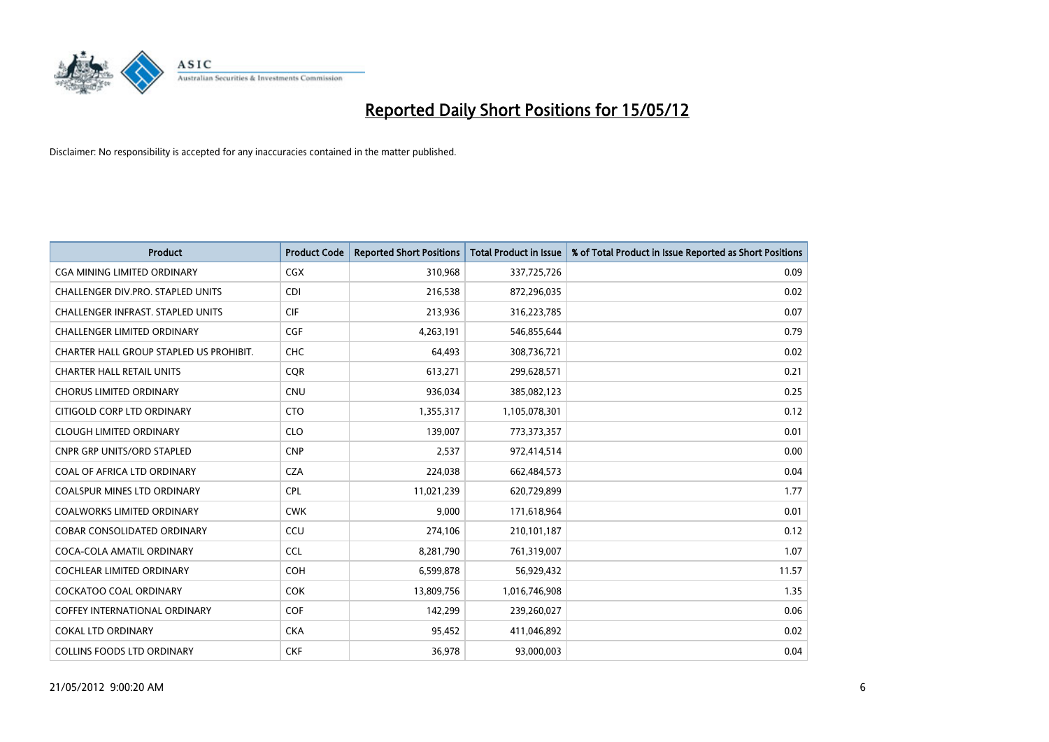

| <b>Product</b>                           | <b>Product Code</b> | <b>Reported Short Positions</b> | <b>Total Product in Issue</b> | % of Total Product in Issue Reported as Short Positions |
|------------------------------------------|---------------------|---------------------------------|-------------------------------|---------------------------------------------------------|
| <b>CGA MINING LIMITED ORDINARY</b>       | <b>CGX</b>          | 310,968                         | 337,725,726                   | 0.09                                                    |
| CHALLENGER DIV.PRO. STAPLED UNITS        | <b>CDI</b>          | 216,538                         | 872,296,035                   | 0.02                                                    |
| <b>CHALLENGER INFRAST, STAPLED UNITS</b> | <b>CIF</b>          | 213,936                         | 316,223,785                   | 0.07                                                    |
| <b>CHALLENGER LIMITED ORDINARY</b>       | <b>CGF</b>          | 4,263,191                       | 546,855,644                   | 0.79                                                    |
| CHARTER HALL GROUP STAPLED US PROHIBIT.  | <b>CHC</b>          | 64,493                          | 308,736,721                   | 0.02                                                    |
| <b>CHARTER HALL RETAIL UNITS</b>         | CQR                 | 613,271                         | 299,628,571                   | 0.21                                                    |
| <b>CHORUS LIMITED ORDINARY</b>           | <b>CNU</b>          | 936,034                         | 385,082,123                   | 0.25                                                    |
| CITIGOLD CORP LTD ORDINARY               | <b>CTO</b>          | 1,355,317                       | 1,105,078,301                 | 0.12                                                    |
| <b>CLOUGH LIMITED ORDINARY</b>           | <b>CLO</b>          | 139,007                         | 773,373,357                   | 0.01                                                    |
| <b>CNPR GRP UNITS/ORD STAPLED</b>        | <b>CNP</b>          | 2,537                           | 972,414,514                   | 0.00                                                    |
| COAL OF AFRICA LTD ORDINARY              | <b>CZA</b>          | 224,038                         | 662,484,573                   | 0.04                                                    |
| <b>COALSPUR MINES LTD ORDINARY</b>       | <b>CPL</b>          | 11,021,239                      | 620,729,899                   | 1.77                                                    |
| COALWORKS LIMITED ORDINARY               | <b>CWK</b>          | 9,000                           | 171,618,964                   | 0.01                                                    |
| <b>COBAR CONSOLIDATED ORDINARY</b>       | CCU                 | 274,106                         | 210,101,187                   | 0.12                                                    |
| COCA-COLA AMATIL ORDINARY                | <b>CCL</b>          | 8,281,790                       | 761,319,007                   | 1.07                                                    |
| COCHLEAR LIMITED ORDINARY                | <b>COH</b>          | 6,599,878                       | 56,929,432                    | 11.57                                                   |
| COCKATOO COAL ORDINARY                   | <b>COK</b>          | 13,809,756                      | 1,016,746,908                 | 1.35                                                    |
| <b>COFFEY INTERNATIONAL ORDINARY</b>     | <b>COF</b>          | 142,299                         | 239,260,027                   | 0.06                                                    |
| COKAL LTD ORDINARY                       | <b>CKA</b>          | 95,452                          | 411,046,892                   | 0.02                                                    |
| <b>COLLINS FOODS LTD ORDINARY</b>        | <b>CKF</b>          | 36,978                          | 93,000,003                    | 0.04                                                    |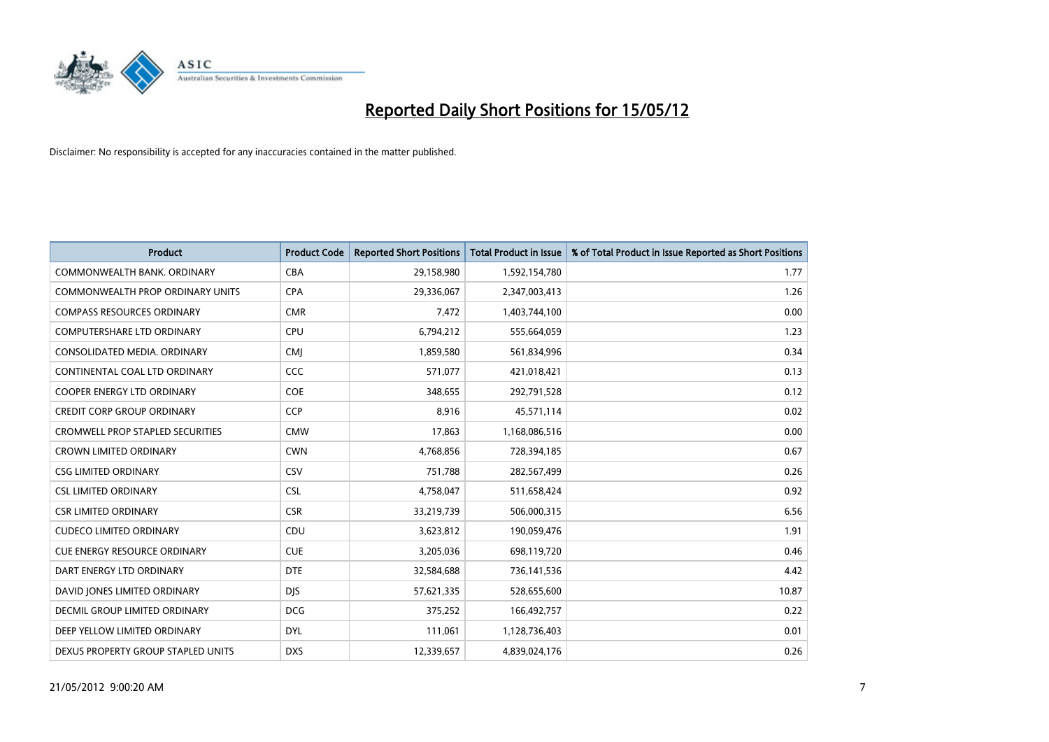

| <b>Product</b>                          | <b>Product Code</b> | <b>Reported Short Positions</b> | Total Product in Issue | % of Total Product in Issue Reported as Short Positions |
|-----------------------------------------|---------------------|---------------------------------|------------------------|---------------------------------------------------------|
| COMMONWEALTH BANK, ORDINARY             | <b>CBA</b>          | 29,158,980                      | 1,592,154,780          | 1.77                                                    |
| <b>COMMONWEALTH PROP ORDINARY UNITS</b> | <b>CPA</b>          | 29,336,067                      | 2,347,003,413          | 1.26                                                    |
| <b>COMPASS RESOURCES ORDINARY</b>       | <b>CMR</b>          | 7,472                           | 1,403,744,100          | 0.00                                                    |
| COMPUTERSHARE LTD ORDINARY              | <b>CPU</b>          | 6,794,212                       | 555,664,059            | 1.23                                                    |
| CONSOLIDATED MEDIA, ORDINARY            | <b>CMI</b>          | 1,859,580                       | 561,834,996            | 0.34                                                    |
| CONTINENTAL COAL LTD ORDINARY           | CCC                 | 571,077                         | 421,018,421            | 0.13                                                    |
| <b>COOPER ENERGY LTD ORDINARY</b>       | <b>COE</b>          | 348,655                         | 292,791,528            | 0.12                                                    |
| <b>CREDIT CORP GROUP ORDINARY</b>       | <b>CCP</b>          | 8,916                           | 45,571,114             | 0.02                                                    |
| <b>CROMWELL PROP STAPLED SECURITIES</b> | <b>CMW</b>          | 17,863                          | 1,168,086,516          | 0.00                                                    |
| <b>CROWN LIMITED ORDINARY</b>           | <b>CWN</b>          | 4,768,856                       | 728,394,185            | 0.67                                                    |
| <b>CSG LIMITED ORDINARY</b>             | CSV                 | 751,788                         | 282,567,499            | 0.26                                                    |
| <b>CSL LIMITED ORDINARY</b>             | <b>CSL</b>          | 4,758,047                       | 511,658,424            | 0.92                                                    |
| <b>CSR LIMITED ORDINARY</b>             | <b>CSR</b>          | 33,219,739                      | 506,000,315            | 6.56                                                    |
| <b>CUDECO LIMITED ORDINARY</b>          | CDU                 | 3,623,812                       | 190,059,476            | 1.91                                                    |
| <b>CUE ENERGY RESOURCE ORDINARY</b>     | <b>CUE</b>          | 3,205,036                       | 698,119,720            | 0.46                                                    |
| DART ENERGY LTD ORDINARY                | <b>DTE</b>          | 32,584,688                      | 736,141,536            | 4.42                                                    |
| DAVID JONES LIMITED ORDINARY            | <b>DJS</b>          | 57,621,335                      | 528,655,600            | 10.87                                                   |
| <b>DECMIL GROUP LIMITED ORDINARY</b>    | <b>DCG</b>          | 375,252                         | 166,492,757            | 0.22                                                    |
| DEEP YELLOW LIMITED ORDINARY            | <b>DYL</b>          | 111,061                         | 1,128,736,403          | 0.01                                                    |
| DEXUS PROPERTY GROUP STAPLED UNITS      | <b>DXS</b>          | 12,339,657                      | 4,839,024,176          | 0.26                                                    |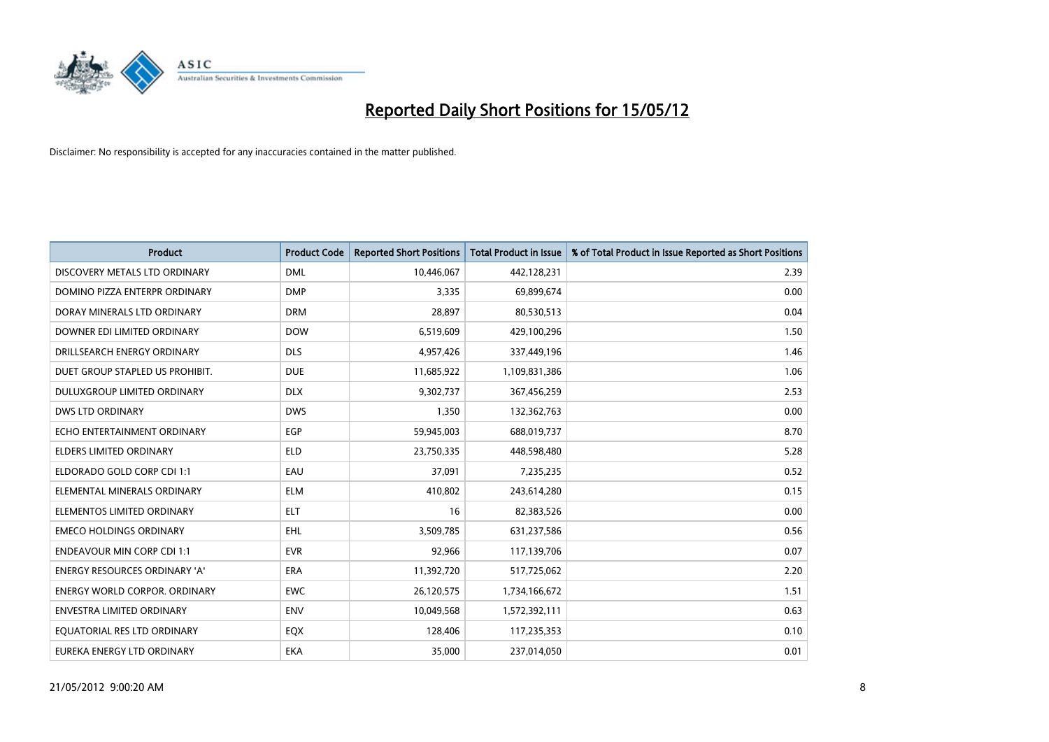

| <b>Product</b>                       | <b>Product Code</b> | <b>Reported Short Positions</b> | <b>Total Product in Issue</b> | % of Total Product in Issue Reported as Short Positions |
|--------------------------------------|---------------------|---------------------------------|-------------------------------|---------------------------------------------------------|
| DISCOVERY METALS LTD ORDINARY        | <b>DML</b>          | 10,446,067                      | 442,128,231                   | 2.39                                                    |
| DOMINO PIZZA ENTERPR ORDINARY        | <b>DMP</b>          | 3,335                           | 69,899,674                    | 0.00                                                    |
| DORAY MINERALS LTD ORDINARY          | <b>DRM</b>          | 28.897                          | 80,530,513                    | 0.04                                                    |
| DOWNER EDI LIMITED ORDINARY          | <b>DOW</b>          | 6,519,609                       | 429,100,296                   | 1.50                                                    |
| DRILLSEARCH ENERGY ORDINARY          | <b>DLS</b>          | 4,957,426                       | 337,449,196                   | 1.46                                                    |
| DUET GROUP STAPLED US PROHIBIT.      | <b>DUE</b>          | 11,685,922                      | 1,109,831,386                 | 1.06                                                    |
| <b>DULUXGROUP LIMITED ORDINARY</b>   | <b>DLX</b>          | 9,302,737                       | 367,456,259                   | 2.53                                                    |
| <b>DWS LTD ORDINARY</b>              | <b>DWS</b>          | 1,350                           | 132,362,763                   | 0.00                                                    |
| ECHO ENTERTAINMENT ORDINARY          | <b>EGP</b>          | 59,945,003                      | 688,019,737                   | 8.70                                                    |
| <b>ELDERS LIMITED ORDINARY</b>       | <b>ELD</b>          | 23,750,335                      | 448,598,480                   | 5.28                                                    |
| ELDORADO GOLD CORP CDI 1:1           | EAU                 | 37,091                          | 7,235,235                     | 0.52                                                    |
| ELEMENTAL MINERALS ORDINARY          | <b>ELM</b>          | 410,802                         | 243,614,280                   | 0.15                                                    |
| ELEMENTOS LIMITED ORDINARY           | <b>ELT</b>          | 16                              | 82,383,526                    | 0.00                                                    |
| <b>EMECO HOLDINGS ORDINARY</b>       | <b>EHL</b>          | 3,509,785                       | 631,237,586                   | 0.56                                                    |
| <b>ENDEAVOUR MIN CORP CDI 1:1</b>    | <b>EVR</b>          | 92,966                          | 117,139,706                   | 0.07                                                    |
| <b>ENERGY RESOURCES ORDINARY 'A'</b> | ERA                 | 11,392,720                      | 517,725,062                   | 2.20                                                    |
| <b>ENERGY WORLD CORPOR. ORDINARY</b> | <b>EWC</b>          | 26,120,575                      | 1,734,166,672                 | 1.51                                                    |
| ENVESTRA LIMITED ORDINARY            | <b>ENV</b>          | 10,049,568                      | 1,572,392,111                 | 0.63                                                    |
| EQUATORIAL RES LTD ORDINARY          | EQX                 | 128,406                         | 117,235,353                   | 0.10                                                    |
| EUREKA ENERGY LTD ORDINARY           | EKA                 | 35,000                          | 237,014,050                   | 0.01                                                    |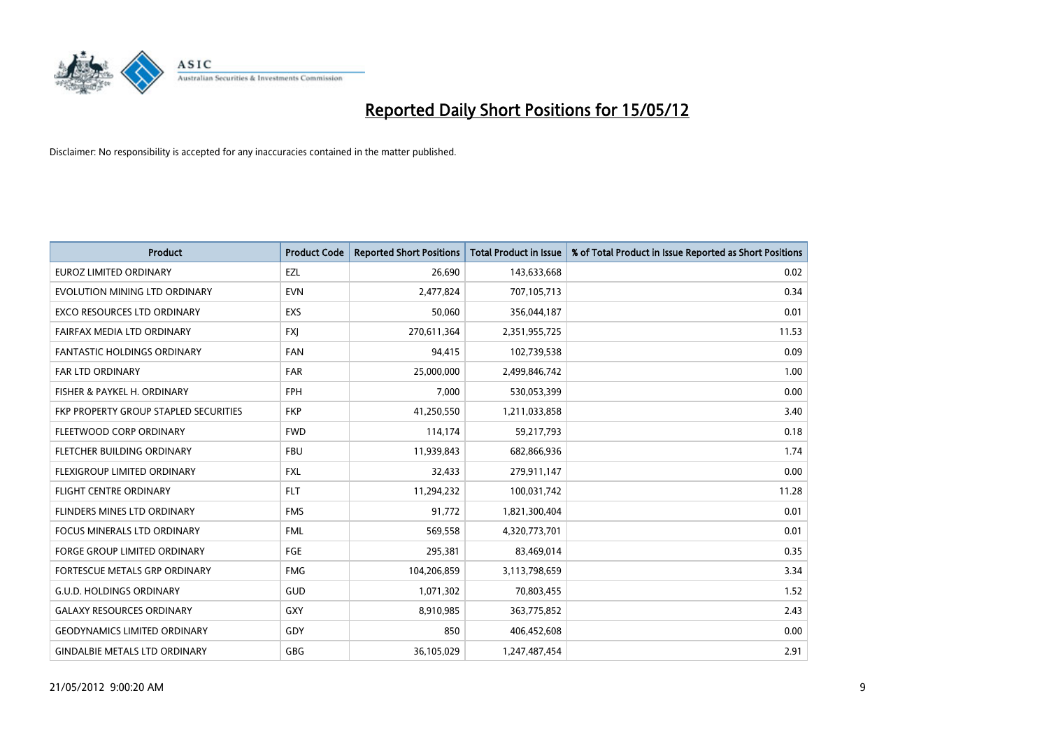

| <b>Product</b>                        | <b>Product Code</b> | <b>Reported Short Positions</b> | <b>Total Product in Issue</b> | % of Total Product in Issue Reported as Short Positions |
|---------------------------------------|---------------------|---------------------------------|-------------------------------|---------------------------------------------------------|
| <b>EUROZ LIMITED ORDINARY</b>         | EZL                 | 26,690                          | 143,633,668                   | 0.02                                                    |
| EVOLUTION MINING LTD ORDINARY         | <b>EVN</b>          | 2,477,824                       | 707,105,713                   | 0.34                                                    |
| <b>EXCO RESOURCES LTD ORDINARY</b>    | <b>EXS</b>          | 50,060                          | 356,044,187                   | 0.01                                                    |
| FAIRFAX MEDIA LTD ORDINARY            | FXJ                 | 270,611,364                     | 2,351,955,725                 | 11.53                                                   |
| <b>FANTASTIC HOLDINGS ORDINARY</b>    | <b>FAN</b>          | 94,415                          | 102,739,538                   | 0.09                                                    |
| <b>FAR LTD ORDINARY</b>               | <b>FAR</b>          | 25,000,000                      | 2,499,846,742                 | 1.00                                                    |
| FISHER & PAYKEL H. ORDINARY           | <b>FPH</b>          | 7,000                           | 530,053,399                   | 0.00                                                    |
| FKP PROPERTY GROUP STAPLED SECURITIES | <b>FKP</b>          | 41,250,550                      | 1,211,033,858                 | 3.40                                                    |
| FLEETWOOD CORP ORDINARY               | <b>FWD</b>          | 114,174                         | 59,217,793                    | 0.18                                                    |
| FLETCHER BUILDING ORDINARY            | <b>FBU</b>          | 11,939,843                      | 682,866,936                   | 1.74                                                    |
| FLEXIGROUP LIMITED ORDINARY           | <b>FXL</b>          | 32,433                          | 279,911,147                   | 0.00                                                    |
| <b>FLIGHT CENTRE ORDINARY</b>         | <b>FLT</b>          | 11,294,232                      | 100,031,742                   | 11.28                                                   |
| FLINDERS MINES LTD ORDINARY           | <b>FMS</b>          | 91,772                          | 1,821,300,404                 | 0.01                                                    |
| <b>FOCUS MINERALS LTD ORDINARY</b>    | <b>FML</b>          | 569,558                         | 4,320,773,701                 | 0.01                                                    |
| <b>FORGE GROUP LIMITED ORDINARY</b>   | FGE                 | 295,381                         | 83,469,014                    | 0.35                                                    |
| FORTESCUE METALS GRP ORDINARY         | <b>FMG</b>          | 104,206,859                     | 3,113,798,659                 | 3.34                                                    |
| <b>G.U.D. HOLDINGS ORDINARY</b>       | GUD                 | 1,071,302                       | 70,803,455                    | 1.52                                                    |
| <b>GALAXY RESOURCES ORDINARY</b>      | GXY                 | 8,910,985                       | 363,775,852                   | 2.43                                                    |
| <b>GEODYNAMICS LIMITED ORDINARY</b>   | GDY                 | 850                             | 406,452,608                   | 0.00                                                    |
| <b>GINDALBIE METALS LTD ORDINARY</b>  | GBG                 | 36,105,029                      | 1,247,487,454                 | 2.91                                                    |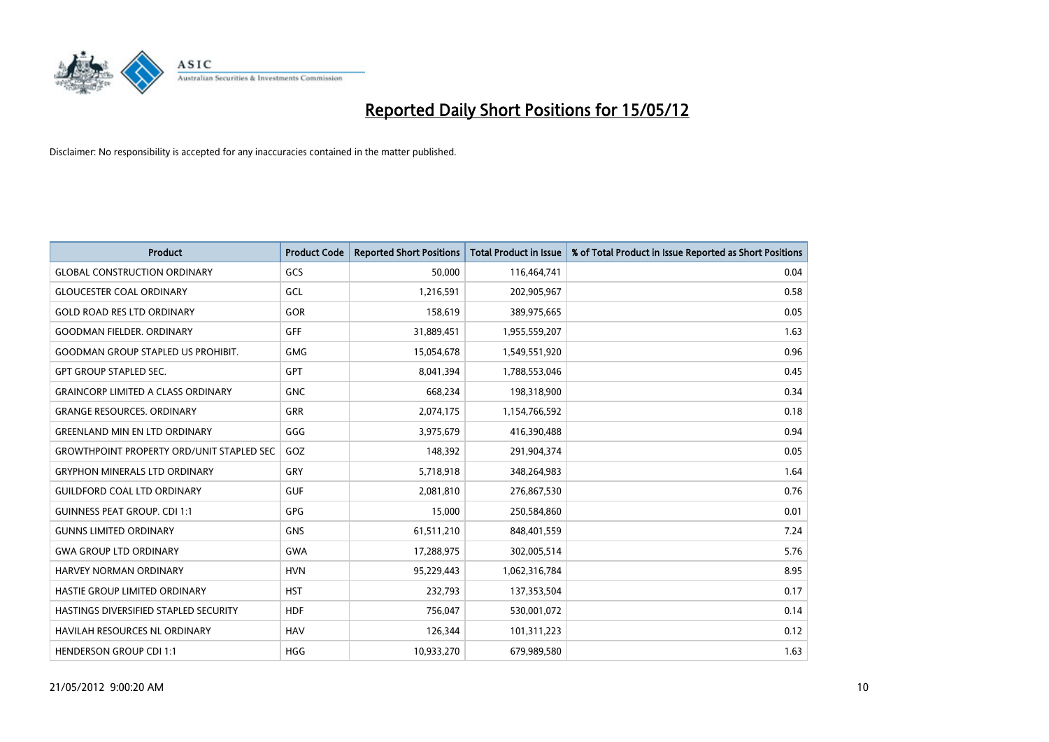

| <b>Product</b>                                   | <b>Product Code</b> | <b>Reported Short Positions</b> | <b>Total Product in Issue</b> | % of Total Product in Issue Reported as Short Positions |
|--------------------------------------------------|---------------------|---------------------------------|-------------------------------|---------------------------------------------------------|
| <b>GLOBAL CONSTRUCTION ORDINARY</b>              | GCS                 | 50,000                          | 116,464,741                   | 0.04                                                    |
| <b>GLOUCESTER COAL ORDINARY</b>                  | GCL                 | 1,216,591                       | 202,905,967                   | 0.58                                                    |
| <b>GOLD ROAD RES LTD ORDINARY</b>                | GOR                 | 158,619                         | 389,975,665                   | 0.05                                                    |
| <b>GOODMAN FIELDER, ORDINARY</b>                 | <b>GFF</b>          | 31,889,451                      | 1,955,559,207                 | 1.63                                                    |
| <b>GOODMAN GROUP STAPLED US PROHIBIT.</b>        | <b>GMG</b>          | 15,054,678                      | 1,549,551,920                 | 0.96                                                    |
| <b>GPT GROUP STAPLED SEC.</b>                    | GPT                 | 8,041,394                       | 1,788,553,046                 | 0.45                                                    |
| <b>GRAINCORP LIMITED A CLASS ORDINARY</b>        | <b>GNC</b>          | 668,234                         | 198,318,900                   | 0.34                                                    |
| <b>GRANGE RESOURCES. ORDINARY</b>                | GRR                 | 2,074,175                       | 1,154,766,592                 | 0.18                                                    |
| <b>GREENLAND MIN EN LTD ORDINARY</b>             | GGG                 | 3,975,679                       | 416,390,488                   | 0.94                                                    |
| <b>GROWTHPOINT PROPERTY ORD/UNIT STAPLED SEC</b> | GOZ                 | 148,392                         | 291,904,374                   | 0.05                                                    |
| <b>GRYPHON MINERALS LTD ORDINARY</b>             | GRY                 | 5,718,918                       | 348,264,983                   | 1.64                                                    |
| <b>GUILDFORD COAL LTD ORDINARY</b>               | <b>GUF</b>          | 2,081,810                       | 276,867,530                   | 0.76                                                    |
| <b>GUINNESS PEAT GROUP. CDI 1:1</b>              | <b>GPG</b>          | 15,000                          | 250,584,860                   | 0.01                                                    |
| <b>GUNNS LIMITED ORDINARY</b>                    | <b>GNS</b>          | 61,511,210                      | 848,401,559                   | 7.24                                                    |
| <b>GWA GROUP LTD ORDINARY</b>                    | <b>GWA</b>          | 17,288,975                      | 302,005,514                   | 5.76                                                    |
| HARVEY NORMAN ORDINARY                           | <b>HVN</b>          | 95,229,443                      | 1,062,316,784                 | 8.95                                                    |
| HASTIE GROUP LIMITED ORDINARY                    | <b>HST</b>          | 232,793                         | 137,353,504                   | 0.17                                                    |
| HASTINGS DIVERSIFIED STAPLED SECURITY            | <b>HDF</b>          | 756,047                         | 530,001,072                   | 0.14                                                    |
| <b>HAVILAH RESOURCES NL ORDINARY</b>             | <b>HAV</b>          | 126,344                         | 101,311,223                   | 0.12                                                    |
| <b>HENDERSON GROUP CDI 1:1</b>                   | <b>HGG</b>          | 10,933,270                      | 679,989,580                   | 1.63                                                    |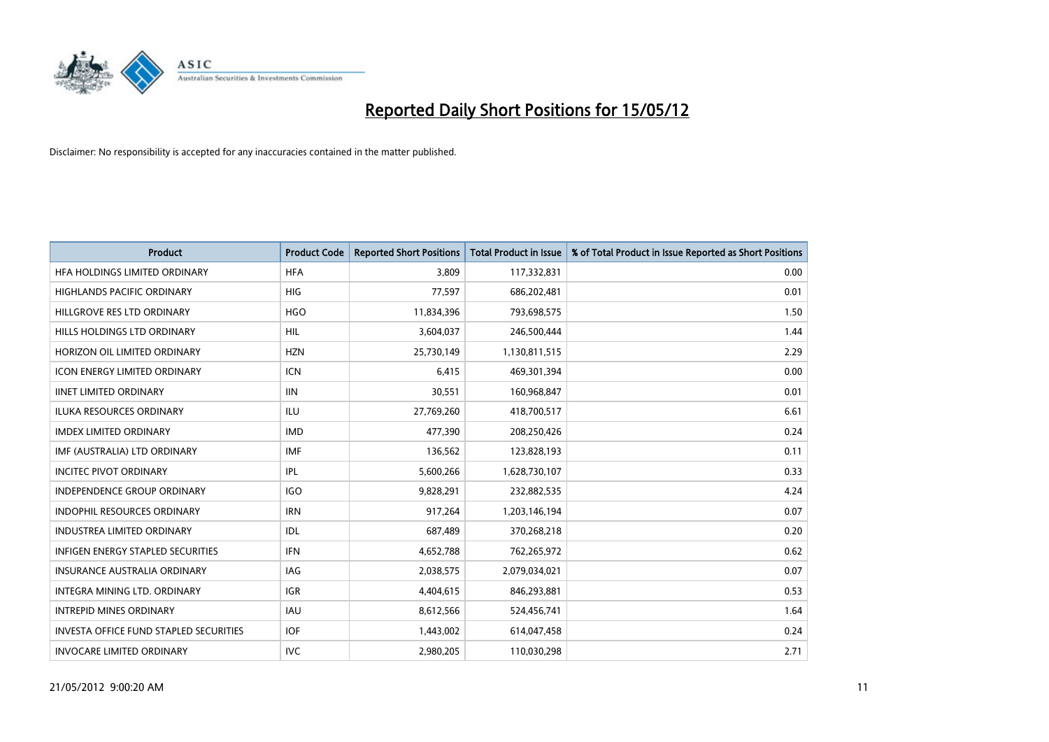

| <b>Product</b>                                | <b>Product Code</b> | <b>Reported Short Positions</b> | <b>Total Product in Issue</b> | % of Total Product in Issue Reported as Short Positions |
|-----------------------------------------------|---------------------|---------------------------------|-------------------------------|---------------------------------------------------------|
| HFA HOLDINGS LIMITED ORDINARY                 | <b>HFA</b>          | 3,809                           | 117,332,831                   | 0.00                                                    |
| HIGHLANDS PACIFIC ORDINARY                    | HIG                 | 77,597                          | 686,202,481                   | 0.01                                                    |
| HILLGROVE RES LTD ORDINARY                    | <b>HGO</b>          | 11,834,396                      | 793,698,575                   | 1.50                                                    |
| HILLS HOLDINGS LTD ORDINARY                   | <b>HIL</b>          | 3,604,037                       | 246,500,444                   | 1.44                                                    |
| HORIZON OIL LIMITED ORDINARY                  | <b>HZN</b>          | 25,730,149                      | 1,130,811,515                 | 2.29                                                    |
| <b>ICON ENERGY LIMITED ORDINARY</b>           | <b>ICN</b>          | 6,415                           | 469,301,394                   | 0.00                                                    |
| <b>IINET LIMITED ORDINARY</b>                 | <b>IIN</b>          | 30,551                          | 160,968,847                   | 0.01                                                    |
| ILUKA RESOURCES ORDINARY                      | ILU                 | 27,769,260                      | 418,700,517                   | 6.61                                                    |
| <b>IMDEX LIMITED ORDINARY</b>                 | <b>IMD</b>          | 477,390                         | 208,250,426                   | 0.24                                                    |
| IMF (AUSTRALIA) LTD ORDINARY                  | <b>IMF</b>          | 136,562                         | 123,828,193                   | 0.11                                                    |
| <b>INCITEC PIVOT ORDINARY</b>                 | IPL                 | 5,600,266                       | 1,628,730,107                 | 0.33                                                    |
| <b>INDEPENDENCE GROUP ORDINARY</b>            | <b>IGO</b>          | 9,828,291                       | 232,882,535                   | 4.24                                                    |
| INDOPHIL RESOURCES ORDINARY                   | <b>IRN</b>          | 917,264                         | 1,203,146,194                 | 0.07                                                    |
| <b>INDUSTREA LIMITED ORDINARY</b>             | IDL                 | 687,489                         | 370,268,218                   | 0.20                                                    |
| <b>INFIGEN ENERGY STAPLED SECURITIES</b>      | <b>IFN</b>          | 4,652,788                       | 762,265,972                   | 0.62                                                    |
| INSURANCE AUSTRALIA ORDINARY                  | IAG                 | 2,038,575                       | 2,079,034,021                 | 0.07                                                    |
| INTEGRA MINING LTD. ORDINARY                  | IGR                 | 4,404,615                       | 846,293,881                   | 0.53                                                    |
| <b>INTREPID MINES ORDINARY</b>                | <b>IAU</b>          | 8,612,566                       | 524,456,741                   | 1.64                                                    |
| <b>INVESTA OFFICE FUND STAPLED SECURITIES</b> | <b>IOF</b>          | 1,443,002                       | 614,047,458                   | 0.24                                                    |
| <b>INVOCARE LIMITED ORDINARY</b>              | <b>IVC</b>          | 2,980,205                       | 110,030,298                   | 2.71                                                    |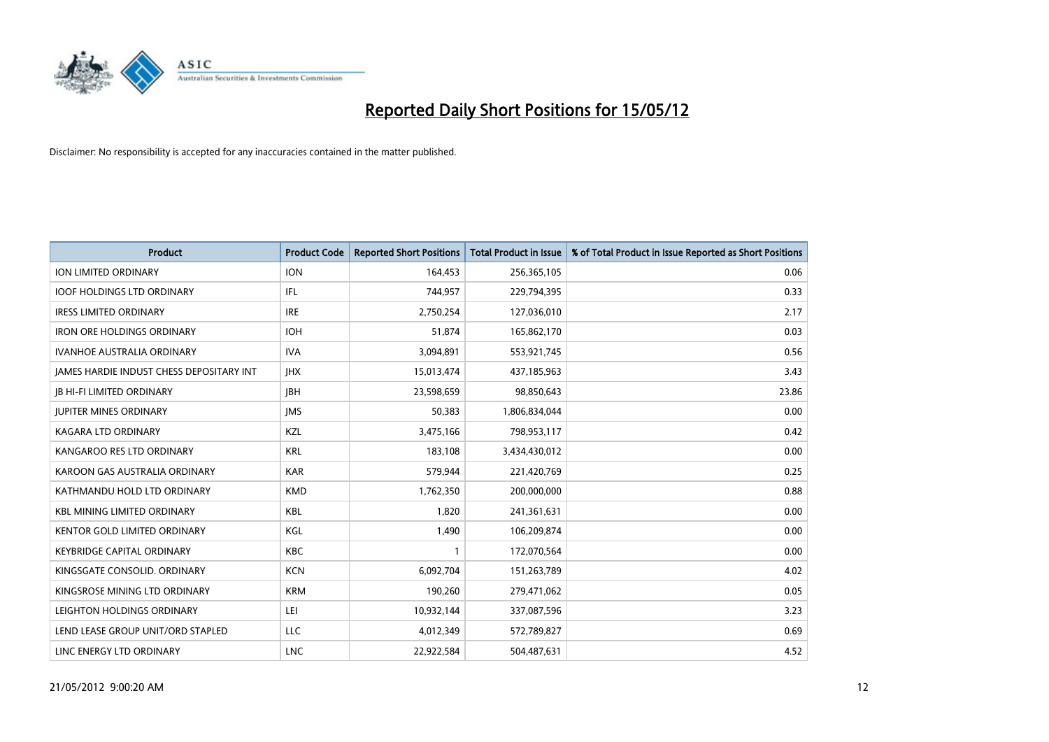

| <b>Product</b>                           | <b>Product Code</b> | <b>Reported Short Positions</b> | <b>Total Product in Issue</b> | % of Total Product in Issue Reported as Short Positions |
|------------------------------------------|---------------------|---------------------------------|-------------------------------|---------------------------------------------------------|
| ION LIMITED ORDINARY                     | <b>ION</b>          | 164,453                         | 256,365,105                   | 0.06                                                    |
| <b>IOOF HOLDINGS LTD ORDINARY</b>        | IFL                 | 744,957                         | 229,794,395                   | 0.33                                                    |
| <b>IRESS LIMITED ORDINARY</b>            | <b>IRE</b>          | 2,750,254                       | 127,036,010                   | 2.17                                                    |
| <b>IRON ORE HOLDINGS ORDINARY</b>        | <b>IOH</b>          | 51,874                          | 165,862,170                   | 0.03                                                    |
| <b>IVANHOE AUSTRALIA ORDINARY</b>        | <b>IVA</b>          | 3,094,891                       | 553,921,745                   | 0.56                                                    |
| JAMES HARDIE INDUST CHESS DEPOSITARY INT | <b>IHX</b>          | 15,013,474                      | 437,185,963                   | 3.43                                                    |
| <b>JB HI-FI LIMITED ORDINARY</b>         | <b>IBH</b>          | 23,598,659                      | 98,850,643                    | 23.86                                                   |
| <b>JUPITER MINES ORDINARY</b>            | <b>IMS</b>          | 50,383                          | 1,806,834,044                 | 0.00                                                    |
| <b>KAGARA LTD ORDINARY</b>               | KZL                 | 3,475,166                       | 798,953,117                   | 0.42                                                    |
| KANGAROO RES LTD ORDINARY                | <b>KRL</b>          | 183,108                         | 3,434,430,012                 | 0.00                                                    |
| KAROON GAS AUSTRALIA ORDINARY            | <b>KAR</b>          | 579,944                         | 221,420,769                   | 0.25                                                    |
| KATHMANDU HOLD LTD ORDINARY              | <b>KMD</b>          | 1,762,350                       | 200,000,000                   | 0.88                                                    |
| <b>KBL MINING LIMITED ORDINARY</b>       | <b>KBL</b>          | 1,820                           | 241,361,631                   | 0.00                                                    |
| <b>KENTOR GOLD LIMITED ORDINARY</b>      | KGL                 | 1,490                           | 106,209,874                   | 0.00                                                    |
| <b>KEYBRIDGE CAPITAL ORDINARY</b>        | <b>KBC</b>          | $\mathbf{1}$                    | 172,070,564                   | 0.00                                                    |
| KINGSGATE CONSOLID. ORDINARY             | <b>KCN</b>          | 6,092,704                       | 151,263,789                   | 4.02                                                    |
| KINGSROSE MINING LTD ORDINARY            | <b>KRM</b>          | 190,260                         | 279,471,062                   | 0.05                                                    |
| LEIGHTON HOLDINGS ORDINARY               | LEI                 | 10,932,144                      | 337,087,596                   | 3.23                                                    |
| LEND LEASE GROUP UNIT/ORD STAPLED        | LLC                 | 4,012,349                       | 572,789,827                   | 0.69                                                    |
| LINC ENERGY LTD ORDINARY                 | <b>LNC</b>          | 22,922,584                      | 504,487,631                   | 4.52                                                    |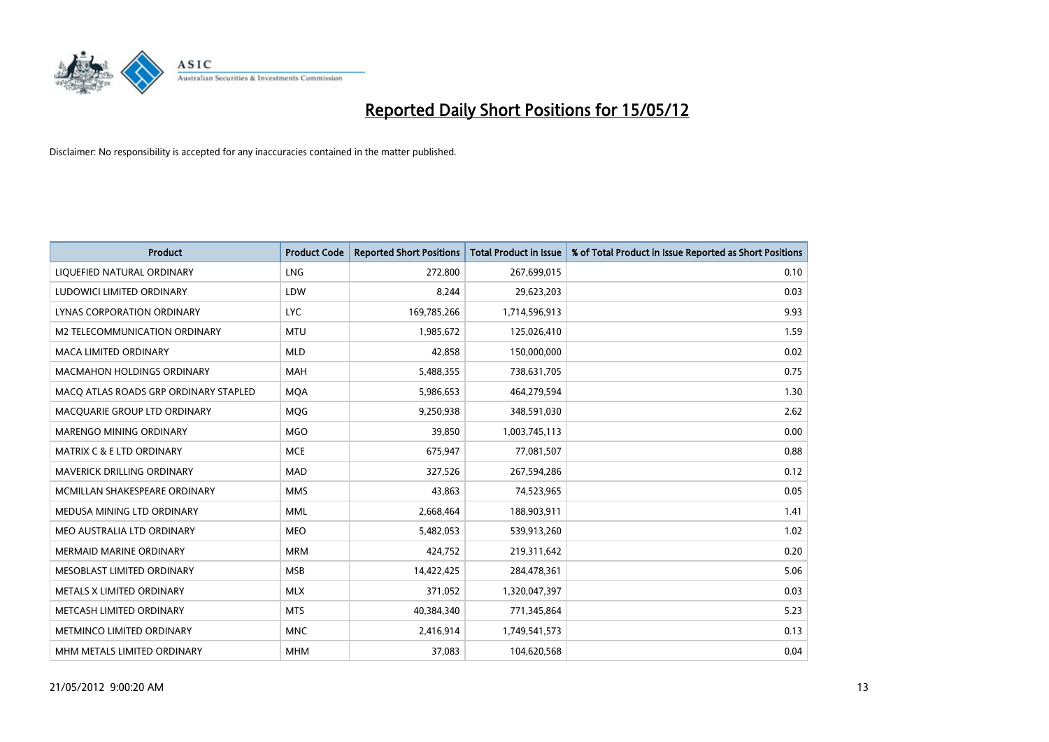

| <b>Product</b>                        | <b>Product Code</b> | <b>Reported Short Positions</b> | <b>Total Product in Issue</b> | % of Total Product in Issue Reported as Short Positions |
|---------------------------------------|---------------------|---------------------------------|-------------------------------|---------------------------------------------------------|
| LIQUEFIED NATURAL ORDINARY            | <b>LNG</b>          | 272,800                         | 267,699,015                   | 0.10                                                    |
| LUDOWICI LIMITED ORDINARY             | LDW                 | 8,244                           | 29,623,203                    | 0.03                                                    |
| <b>LYNAS CORPORATION ORDINARY</b>     | <b>LYC</b>          | 169,785,266                     | 1,714,596,913                 | 9.93                                                    |
| M2 TELECOMMUNICATION ORDINARY         | <b>MTU</b>          | 1,985,672                       | 125,026,410                   | 1.59                                                    |
| <b>MACA LIMITED ORDINARY</b>          | <b>MLD</b>          | 42,858                          | 150,000,000                   | 0.02                                                    |
| <b>MACMAHON HOLDINGS ORDINARY</b>     | <b>MAH</b>          | 5,488,355                       | 738,631,705                   | 0.75                                                    |
| MACO ATLAS ROADS GRP ORDINARY STAPLED | <b>MQA</b>          | 5,986,653                       | 464,279,594                   | 1.30                                                    |
| MACQUARIE GROUP LTD ORDINARY          | MQG                 | 9,250,938                       | 348,591,030                   | 2.62                                                    |
| MARENGO MINING ORDINARY               | <b>MGO</b>          | 39,850                          | 1,003,745,113                 | 0.00                                                    |
| <b>MATRIX C &amp; E LTD ORDINARY</b>  | <b>MCE</b>          | 675,947                         | 77,081,507                    | 0.88                                                    |
| MAVERICK DRILLING ORDINARY            | <b>MAD</b>          | 327,526                         | 267,594,286                   | 0.12                                                    |
| MCMILLAN SHAKESPEARE ORDINARY         | <b>MMS</b>          | 43,863                          | 74,523,965                    | 0.05                                                    |
| MEDUSA MINING LTD ORDINARY            | <b>MML</b>          | 2,668,464                       | 188,903,911                   | 1.41                                                    |
| MEO AUSTRALIA LTD ORDINARY            | <b>MEO</b>          | 5,482,053                       | 539,913,260                   | 1.02                                                    |
| <b>MERMAID MARINE ORDINARY</b>        | <b>MRM</b>          | 424,752                         | 219,311,642                   | 0.20                                                    |
| MESOBLAST LIMITED ORDINARY            | <b>MSB</b>          | 14,422,425                      | 284,478,361                   | 5.06                                                    |
| METALS X LIMITED ORDINARY             | <b>MLX</b>          | 371,052                         | 1,320,047,397                 | 0.03                                                    |
| METCASH LIMITED ORDINARY              | <b>MTS</b>          | 40,384,340                      | 771,345,864                   | 5.23                                                    |
| METMINCO LIMITED ORDINARY             | <b>MNC</b>          | 2,416,914                       | 1,749,541,573                 | 0.13                                                    |
| MHM METALS LIMITED ORDINARY           | <b>MHM</b>          | 37,083                          | 104,620,568                   | 0.04                                                    |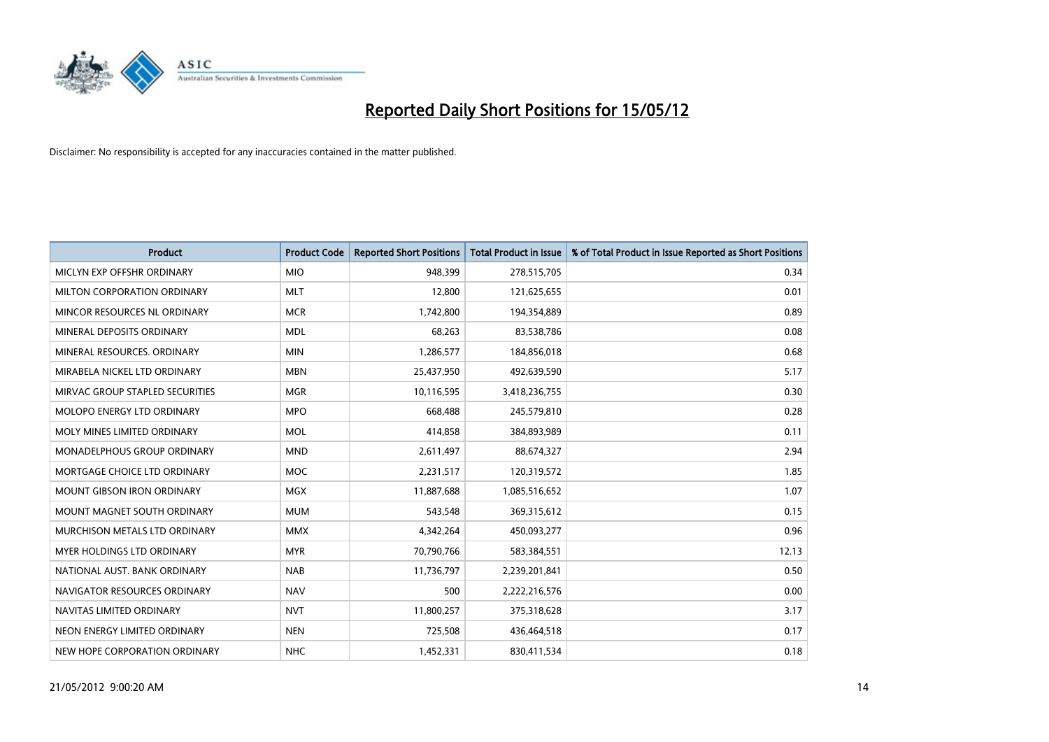

| <b>Product</b>                    | <b>Product Code</b> | <b>Reported Short Positions</b> | <b>Total Product in Issue</b> | % of Total Product in Issue Reported as Short Positions |
|-----------------------------------|---------------------|---------------------------------|-------------------------------|---------------------------------------------------------|
| MICLYN EXP OFFSHR ORDINARY        | <b>MIO</b>          | 948,399                         | 278,515,705                   | 0.34                                                    |
| MILTON CORPORATION ORDINARY       | <b>MLT</b>          | 12,800                          | 121,625,655                   | 0.01                                                    |
| MINCOR RESOURCES NL ORDINARY      | <b>MCR</b>          | 1,742,800                       | 194,354,889                   | 0.89                                                    |
| MINERAL DEPOSITS ORDINARY         | <b>MDL</b>          | 68,263                          | 83,538,786                    | 0.08                                                    |
| MINERAL RESOURCES, ORDINARY       | <b>MIN</b>          | 1,286,577                       | 184,856,018                   | 0.68                                                    |
| MIRABELA NICKEL LTD ORDINARY      | <b>MBN</b>          | 25,437,950                      | 492,639,590                   | 5.17                                                    |
| MIRVAC GROUP STAPLED SECURITIES   | <b>MGR</b>          | 10,116,595                      | 3,418,236,755                 | 0.30                                                    |
| MOLOPO ENERGY LTD ORDINARY        | <b>MPO</b>          | 668,488                         | 245,579,810                   | 0.28                                                    |
| MOLY MINES LIMITED ORDINARY       | <b>MOL</b>          | 414,858                         | 384,893,989                   | 0.11                                                    |
| MONADELPHOUS GROUP ORDINARY       | <b>MND</b>          | 2,611,497                       | 88,674,327                    | 2.94                                                    |
| MORTGAGE CHOICE LTD ORDINARY      | <b>MOC</b>          | 2,231,517                       | 120,319,572                   | 1.85                                                    |
| <b>MOUNT GIBSON IRON ORDINARY</b> | <b>MGX</b>          | 11,887,688                      | 1,085,516,652                 | 1.07                                                    |
| MOUNT MAGNET SOUTH ORDINARY       | <b>MUM</b>          | 543,548                         | 369,315,612                   | 0.15                                                    |
| MURCHISON METALS LTD ORDINARY     | <b>MMX</b>          | 4,342,264                       | 450,093,277                   | 0.96                                                    |
| MYER HOLDINGS LTD ORDINARY        | <b>MYR</b>          | 70,790,766                      | 583,384,551                   | 12.13                                                   |
| NATIONAL AUST. BANK ORDINARY      | <b>NAB</b>          | 11,736,797                      | 2,239,201,841                 | 0.50                                                    |
| NAVIGATOR RESOURCES ORDINARY      | <b>NAV</b>          | 500                             | 2,222,216,576                 | 0.00                                                    |
| NAVITAS LIMITED ORDINARY          | <b>NVT</b>          | 11,800,257                      | 375,318,628                   | 3.17                                                    |
| NEON ENERGY LIMITED ORDINARY      | <b>NEN</b>          | 725,508                         | 436,464,518                   | 0.17                                                    |
| NEW HOPE CORPORATION ORDINARY     | <b>NHC</b>          | 1,452,331                       | 830,411,534                   | 0.18                                                    |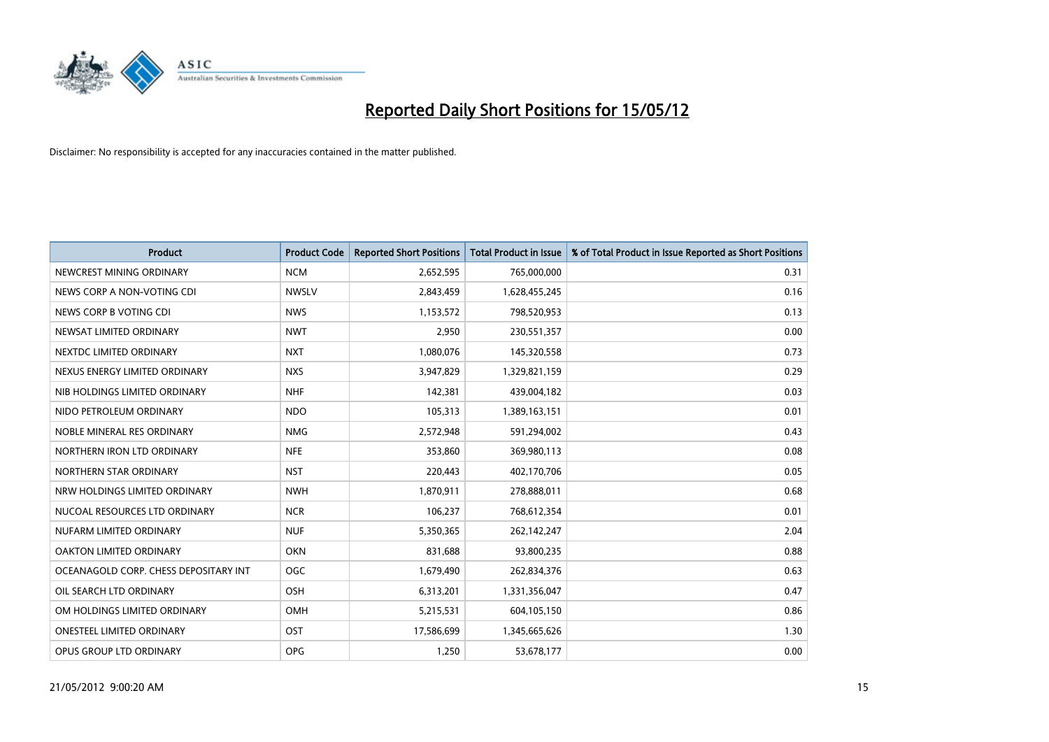

| <b>Product</b>                        | <b>Product Code</b> | <b>Reported Short Positions</b> | Total Product in Issue | % of Total Product in Issue Reported as Short Positions |
|---------------------------------------|---------------------|---------------------------------|------------------------|---------------------------------------------------------|
| NEWCREST MINING ORDINARY              | <b>NCM</b>          | 2,652,595                       | 765,000,000            | 0.31                                                    |
| NEWS CORP A NON-VOTING CDI            | <b>NWSLV</b>        | 2,843,459                       | 1,628,455,245          | 0.16                                                    |
| NEWS CORP B VOTING CDI                | <b>NWS</b>          | 1,153,572                       | 798,520,953            | 0.13                                                    |
| NEWSAT LIMITED ORDINARY               | <b>NWT</b>          | 2,950                           | 230,551,357            | 0.00                                                    |
| NEXTDC LIMITED ORDINARY               | <b>NXT</b>          | 1,080,076                       | 145,320,558            | 0.73                                                    |
| NEXUS ENERGY LIMITED ORDINARY         | <b>NXS</b>          | 3,947,829                       | 1,329,821,159          | 0.29                                                    |
| NIB HOLDINGS LIMITED ORDINARY         | <b>NHF</b>          | 142,381                         | 439,004,182            | 0.03                                                    |
| NIDO PETROLEUM ORDINARY               | <b>NDO</b>          | 105,313                         | 1,389,163,151          | 0.01                                                    |
| NOBLE MINERAL RES ORDINARY            | <b>NMG</b>          | 2,572,948                       | 591,294,002            | 0.43                                                    |
| NORTHERN IRON LTD ORDINARY            | <b>NFE</b>          | 353,860                         | 369,980,113            | 0.08                                                    |
| NORTHERN STAR ORDINARY                | <b>NST</b>          | 220,443                         | 402,170,706            | 0.05                                                    |
| NRW HOLDINGS LIMITED ORDINARY         | <b>NWH</b>          | 1,870,911                       | 278,888,011            | 0.68                                                    |
| NUCOAL RESOURCES LTD ORDINARY         | <b>NCR</b>          | 106,237                         | 768,612,354            | 0.01                                                    |
| NUFARM LIMITED ORDINARY               | <b>NUF</b>          | 5,350,365                       | 262,142,247            | 2.04                                                    |
| <b>OAKTON LIMITED ORDINARY</b>        | <b>OKN</b>          | 831,688                         | 93,800,235             | 0.88                                                    |
| OCEANAGOLD CORP. CHESS DEPOSITARY INT | <b>OGC</b>          | 1,679,490                       | 262,834,376            | 0.63                                                    |
| OIL SEARCH LTD ORDINARY               | OSH                 | 6,313,201                       | 1,331,356,047          | 0.47                                                    |
| OM HOLDINGS LIMITED ORDINARY          | OMH                 | 5,215,531                       | 604,105,150            | 0.86                                                    |
| <b>ONESTEEL LIMITED ORDINARY</b>      | OST                 | 17,586,699                      | 1,345,665,626          | 1.30                                                    |
| OPUS GROUP LTD ORDINARY               | <b>OPG</b>          | 1,250                           | 53,678,177             | 0.00                                                    |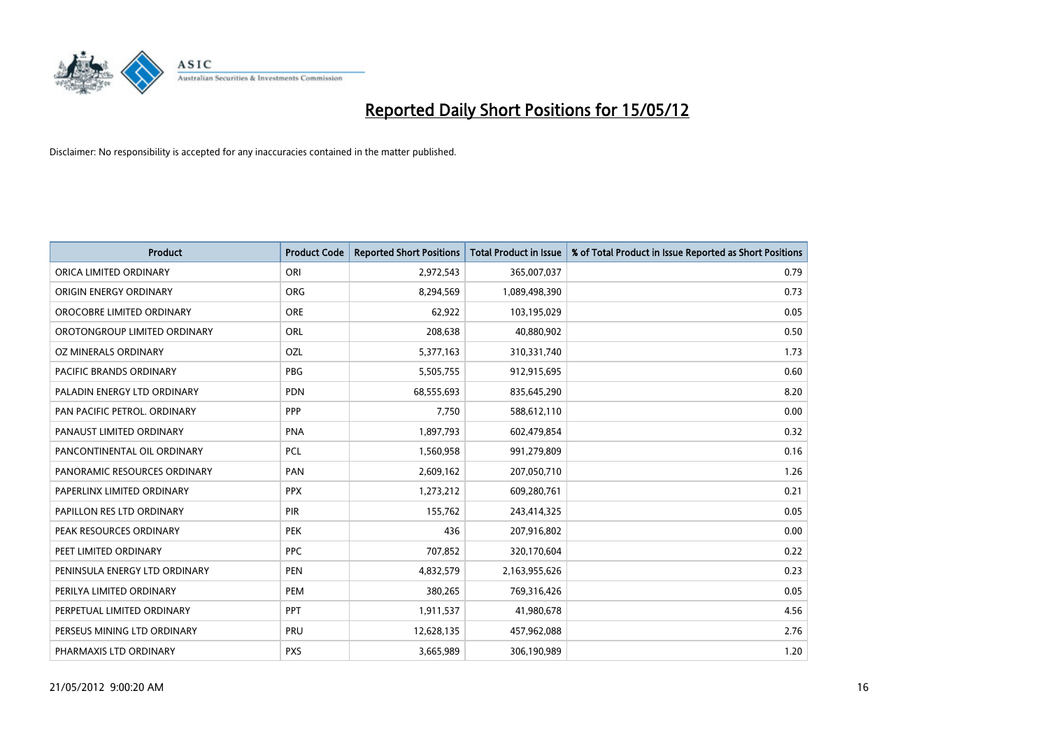

| <b>Product</b>                 | <b>Product Code</b> | <b>Reported Short Positions</b> | <b>Total Product in Issue</b> | % of Total Product in Issue Reported as Short Positions |
|--------------------------------|---------------------|---------------------------------|-------------------------------|---------------------------------------------------------|
| ORICA LIMITED ORDINARY         | ORI                 | 2,972,543                       | 365,007,037                   | 0.79                                                    |
| ORIGIN ENERGY ORDINARY         | <b>ORG</b>          | 8,294,569                       | 1,089,498,390                 | 0.73                                                    |
| OROCOBRE LIMITED ORDINARY      | <b>ORE</b>          | 62,922                          | 103,195,029                   | 0.05                                                    |
| OROTONGROUP LIMITED ORDINARY   | ORL                 | 208,638                         | 40,880,902                    | 0.50                                                    |
| OZ MINERALS ORDINARY           | OZL                 | 5,377,163                       | 310,331,740                   | 1.73                                                    |
| <b>PACIFIC BRANDS ORDINARY</b> | <b>PBG</b>          | 5,505,755                       | 912,915,695                   | 0.60                                                    |
| PALADIN ENERGY LTD ORDINARY    | <b>PDN</b>          | 68,555,693                      | 835,645,290                   | 8.20                                                    |
| PAN PACIFIC PETROL. ORDINARY   | <b>PPP</b>          | 7,750                           | 588,612,110                   | 0.00                                                    |
| PANAUST LIMITED ORDINARY       | <b>PNA</b>          | 1,897,793                       | 602,479,854                   | 0.32                                                    |
| PANCONTINENTAL OIL ORDINARY    | <b>PCL</b>          | 1,560,958                       | 991,279,809                   | 0.16                                                    |
| PANORAMIC RESOURCES ORDINARY   | PAN                 | 2,609,162                       | 207,050,710                   | 1.26                                                    |
| PAPERLINX LIMITED ORDINARY     | <b>PPX</b>          | 1,273,212                       | 609,280,761                   | 0.21                                                    |
| PAPILLON RES LTD ORDINARY      | PIR                 | 155,762                         | 243,414,325                   | 0.05                                                    |
| PEAK RESOURCES ORDINARY        | PEK                 | 436                             | 207,916,802                   | 0.00                                                    |
| PEET LIMITED ORDINARY          | <b>PPC</b>          | 707,852                         | 320,170,604                   | 0.22                                                    |
| PENINSULA ENERGY LTD ORDINARY  | <b>PEN</b>          | 4,832,579                       | 2,163,955,626                 | 0.23                                                    |
| PERILYA LIMITED ORDINARY       | PEM                 | 380,265                         | 769,316,426                   | 0.05                                                    |
| PERPETUAL LIMITED ORDINARY     | <b>PPT</b>          | 1,911,537                       | 41,980,678                    | 4.56                                                    |
| PERSEUS MINING LTD ORDINARY    | PRU                 | 12,628,135                      | 457,962,088                   | 2.76                                                    |
| PHARMAXIS LTD ORDINARY         | <b>PXS</b>          | 3,665,989                       | 306,190,989                   | 1.20                                                    |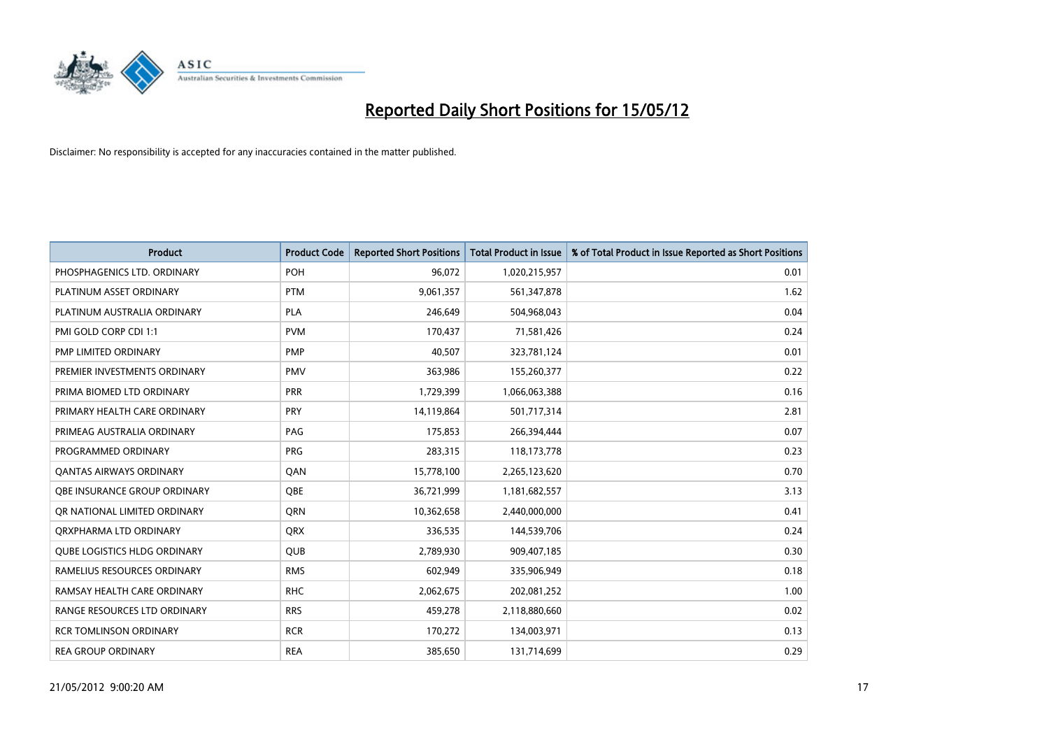

| <b>Product</b>                      | <b>Product Code</b> | <b>Reported Short Positions</b> | <b>Total Product in Issue</b> | % of Total Product in Issue Reported as Short Positions |
|-------------------------------------|---------------------|---------------------------------|-------------------------------|---------------------------------------------------------|
| PHOSPHAGENICS LTD. ORDINARY         | <b>POH</b>          | 96,072                          | 1,020,215,957                 | 0.01                                                    |
| PLATINUM ASSET ORDINARY             | <b>PTM</b>          | 9,061,357                       | 561,347,878                   | 1.62                                                    |
| PLATINUM AUSTRALIA ORDINARY         | <b>PLA</b>          | 246,649                         | 504,968,043                   | 0.04                                                    |
| PMI GOLD CORP CDI 1:1               | <b>PVM</b>          | 170,437                         | 71,581,426                    | 0.24                                                    |
| PMP LIMITED ORDINARY                | <b>PMP</b>          | 40,507                          | 323,781,124                   | 0.01                                                    |
| PREMIER INVESTMENTS ORDINARY        | <b>PMV</b>          | 363,986                         | 155,260,377                   | 0.22                                                    |
| PRIMA BIOMED LTD ORDINARY           | <b>PRR</b>          | 1,729,399                       | 1,066,063,388                 | 0.16                                                    |
| PRIMARY HEALTH CARE ORDINARY        | <b>PRY</b>          | 14,119,864                      | 501,717,314                   | 2.81                                                    |
| PRIMEAG AUSTRALIA ORDINARY          | PAG                 | 175,853                         | 266,394,444                   | 0.07                                                    |
| PROGRAMMED ORDINARY                 | <b>PRG</b>          | 283,315                         | 118,173,778                   | 0.23                                                    |
| <b>QANTAS AIRWAYS ORDINARY</b>      | QAN                 | 15,778,100                      | 2,265,123,620                 | 0.70                                                    |
| OBE INSURANCE GROUP ORDINARY        | OBE                 | 36,721,999                      | 1,181,682,557                 | 3.13                                                    |
| OR NATIONAL LIMITED ORDINARY        | <b>ORN</b>          | 10,362,658                      | 2,440,000,000                 | 0.41                                                    |
| ORXPHARMA LTD ORDINARY              | <b>QRX</b>          | 336,535                         | 144,539,706                   | 0.24                                                    |
| <b>QUBE LOGISTICS HLDG ORDINARY</b> | QUB                 | 2,789,930                       | 909,407,185                   | 0.30                                                    |
| RAMELIUS RESOURCES ORDINARY         | <b>RMS</b>          | 602,949                         | 335,906,949                   | 0.18                                                    |
| RAMSAY HEALTH CARE ORDINARY         | <b>RHC</b>          | 2,062,675                       | 202,081,252                   | 1.00                                                    |
| RANGE RESOURCES LTD ORDINARY        | <b>RRS</b>          | 459,278                         | 2,118,880,660                 | 0.02                                                    |
| <b>RCR TOMLINSON ORDINARY</b>       | <b>RCR</b>          | 170,272                         | 134,003,971                   | 0.13                                                    |
| <b>REA GROUP ORDINARY</b>           | <b>REA</b>          | 385,650                         | 131,714,699                   | 0.29                                                    |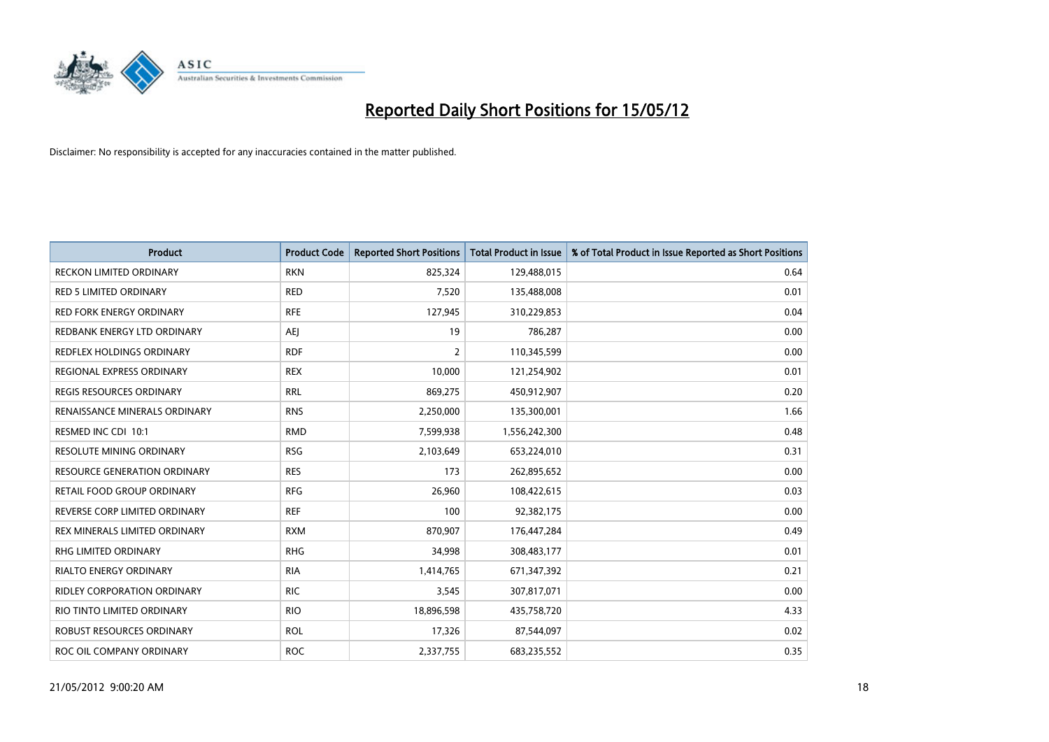

| Product                          | <b>Product Code</b> | <b>Reported Short Positions</b> | <b>Total Product in Issue</b> | % of Total Product in Issue Reported as Short Positions |
|----------------------------------|---------------------|---------------------------------|-------------------------------|---------------------------------------------------------|
| <b>RECKON LIMITED ORDINARY</b>   | <b>RKN</b>          | 825,324                         | 129,488,015                   | 0.64                                                    |
| <b>RED 5 LIMITED ORDINARY</b>    | <b>RED</b>          | 7,520                           | 135,488,008                   | 0.01                                                    |
| <b>RED FORK ENERGY ORDINARY</b>  | <b>RFE</b>          | 127,945                         | 310,229,853                   | 0.04                                                    |
| REDBANK ENERGY LTD ORDINARY      | AEJ                 | 19                              | 786,287                       | 0.00                                                    |
| <b>REDFLEX HOLDINGS ORDINARY</b> | <b>RDF</b>          | $\overline{2}$                  | 110,345,599                   | 0.00                                                    |
| REGIONAL EXPRESS ORDINARY        | <b>REX</b>          | 10,000                          | 121,254,902                   | 0.01                                                    |
| <b>REGIS RESOURCES ORDINARY</b>  | <b>RRL</b>          | 869,275                         | 450,912,907                   | 0.20                                                    |
| RENAISSANCE MINERALS ORDINARY    | <b>RNS</b>          | 2,250,000                       | 135,300,001                   | 1.66                                                    |
| RESMED INC CDI 10:1              | <b>RMD</b>          | 7,599,938                       | 1,556,242,300                 | 0.48                                                    |
| <b>RESOLUTE MINING ORDINARY</b>  | <b>RSG</b>          | 2,103,649                       | 653,224,010                   | 0.31                                                    |
| RESOURCE GENERATION ORDINARY     | <b>RES</b>          | 173                             | 262,895,652                   | 0.00                                                    |
| RETAIL FOOD GROUP ORDINARY       | <b>RFG</b>          | 26,960                          | 108,422,615                   | 0.03                                                    |
| REVERSE CORP LIMITED ORDINARY    | <b>REF</b>          | 100                             | 92,382,175                    | 0.00                                                    |
| REX MINERALS LIMITED ORDINARY    | <b>RXM</b>          | 870,907                         | 176,447,284                   | 0.49                                                    |
| <b>RHG LIMITED ORDINARY</b>      | <b>RHG</b>          | 34,998                          | 308,483,177                   | 0.01                                                    |
| RIALTO ENERGY ORDINARY           | <b>RIA</b>          | 1,414,765                       | 671,347,392                   | 0.21                                                    |
| RIDLEY CORPORATION ORDINARY      | <b>RIC</b>          | 3,545                           | 307,817,071                   | 0.00                                                    |
| RIO TINTO LIMITED ORDINARY       | <b>RIO</b>          | 18,896,598                      | 435,758,720                   | 4.33                                                    |
| ROBUST RESOURCES ORDINARY        | <b>ROL</b>          | 17,326                          | 87,544,097                    | 0.02                                                    |
| ROC OIL COMPANY ORDINARY         | <b>ROC</b>          | 2,337,755                       | 683,235,552                   | 0.35                                                    |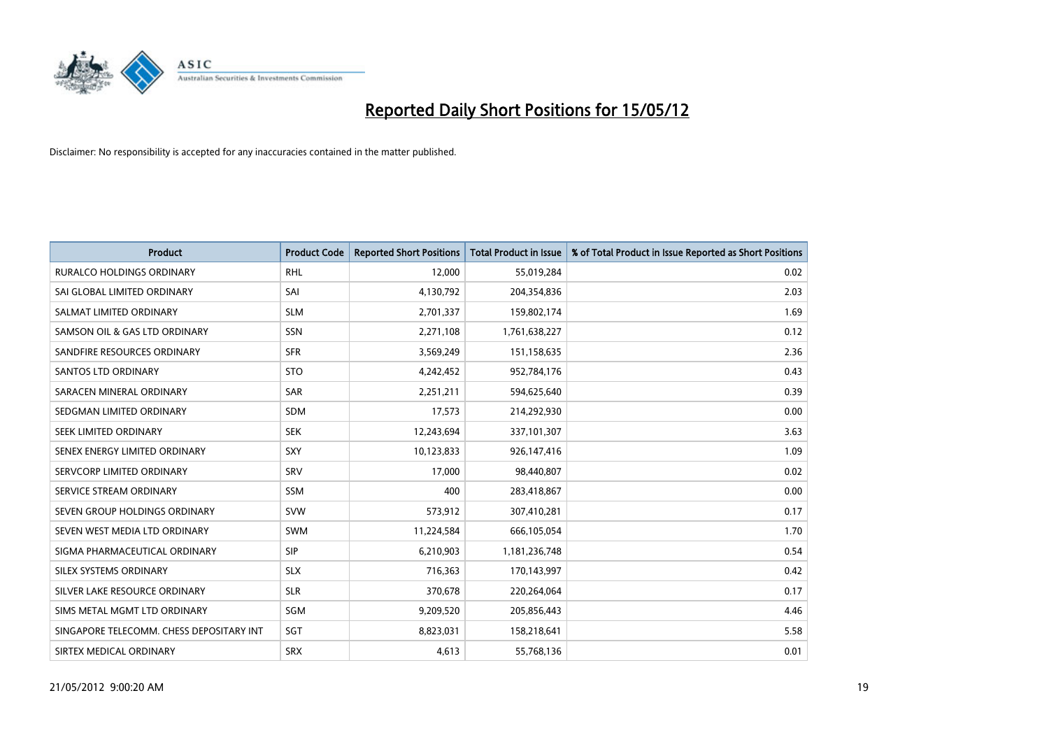

| <b>Product</b>                           | <b>Product Code</b> | <b>Reported Short Positions</b> | <b>Total Product in Issue</b> | % of Total Product in Issue Reported as Short Positions |
|------------------------------------------|---------------------|---------------------------------|-------------------------------|---------------------------------------------------------|
| <b>RURALCO HOLDINGS ORDINARY</b>         | <b>RHL</b>          | 12,000                          | 55,019,284                    | 0.02                                                    |
| SAI GLOBAL LIMITED ORDINARY              | SAI                 | 4,130,792                       | 204,354,836                   | 2.03                                                    |
| SALMAT LIMITED ORDINARY                  | <b>SLM</b>          | 2,701,337                       | 159,802,174                   | 1.69                                                    |
| SAMSON OIL & GAS LTD ORDINARY            | SSN                 | 2,271,108                       | 1,761,638,227                 | 0.12                                                    |
| SANDFIRE RESOURCES ORDINARY              | <b>SFR</b>          | 3,569,249                       | 151,158,635                   | 2.36                                                    |
| SANTOS LTD ORDINARY                      | <b>STO</b>          | 4,242,452                       | 952,784,176                   | 0.43                                                    |
| SARACEN MINERAL ORDINARY                 | <b>SAR</b>          | 2,251,211                       | 594,625,640                   | 0.39                                                    |
| SEDGMAN LIMITED ORDINARY                 | <b>SDM</b>          | 17,573                          | 214,292,930                   | 0.00                                                    |
| SEEK LIMITED ORDINARY                    | <b>SEK</b>          | 12,243,694                      | 337,101,307                   | 3.63                                                    |
| SENEX ENERGY LIMITED ORDINARY            | <b>SXY</b>          | 10,123,833                      | 926,147,416                   | 1.09                                                    |
| SERVCORP LIMITED ORDINARY                | SRV                 | 17,000                          | 98,440,807                    | 0.02                                                    |
| SERVICE STREAM ORDINARY                  | <b>SSM</b>          | 400                             | 283,418,867                   | 0.00                                                    |
| SEVEN GROUP HOLDINGS ORDINARY            | <b>SVW</b>          | 573,912                         | 307,410,281                   | 0.17                                                    |
| SEVEN WEST MEDIA LTD ORDINARY            | <b>SWM</b>          | 11,224,584                      | 666,105,054                   | 1.70                                                    |
| SIGMA PHARMACEUTICAL ORDINARY            | <b>SIP</b>          | 6,210,903                       | 1,181,236,748                 | 0.54                                                    |
| SILEX SYSTEMS ORDINARY                   | <b>SLX</b>          | 716,363                         | 170,143,997                   | 0.42                                                    |
| SILVER LAKE RESOURCE ORDINARY            | <b>SLR</b>          | 370,678                         | 220,264,064                   | 0.17                                                    |
| SIMS METAL MGMT LTD ORDINARY             | SGM                 | 9,209,520                       | 205,856,443                   | 4.46                                                    |
| SINGAPORE TELECOMM. CHESS DEPOSITARY INT | SGT                 | 8,823,031                       | 158,218,641                   | 5.58                                                    |
| SIRTEX MEDICAL ORDINARY                  | <b>SRX</b>          | 4,613                           | 55,768,136                    | 0.01                                                    |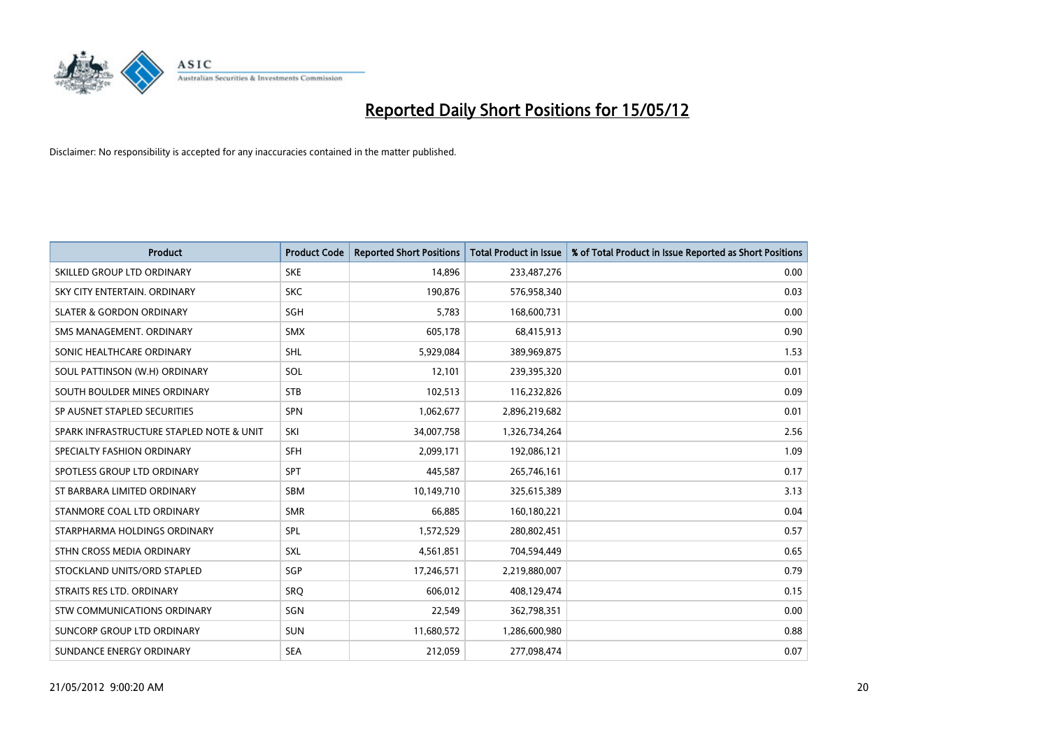

| <b>Product</b>                           | <b>Product Code</b> | <b>Reported Short Positions</b> | <b>Total Product in Issue</b> | % of Total Product in Issue Reported as Short Positions |
|------------------------------------------|---------------------|---------------------------------|-------------------------------|---------------------------------------------------------|
| SKILLED GROUP LTD ORDINARY               | <b>SKE</b>          | 14,896                          | 233,487,276                   | 0.00                                                    |
| SKY CITY ENTERTAIN, ORDINARY             | <b>SKC</b>          | 190,876                         | 576,958,340                   | 0.03                                                    |
| <b>SLATER &amp; GORDON ORDINARY</b>      | SGH                 | 5,783                           | 168,600,731                   | 0.00                                                    |
| SMS MANAGEMENT. ORDINARY                 | <b>SMX</b>          | 605,178                         | 68,415,913                    | 0.90                                                    |
| SONIC HEALTHCARE ORDINARY                | SHL                 | 5,929,084                       | 389,969,875                   | 1.53                                                    |
| SOUL PATTINSON (W.H) ORDINARY            | SOL                 | 12,101                          | 239,395,320                   | 0.01                                                    |
| SOUTH BOULDER MINES ORDINARY             | <b>STB</b>          | 102,513                         | 116,232,826                   | 0.09                                                    |
| SP AUSNET STAPLED SECURITIES             | SPN                 | 1,062,677                       | 2,896,219,682                 | 0.01                                                    |
| SPARK INFRASTRUCTURE STAPLED NOTE & UNIT | SKI                 | 34,007,758                      | 1,326,734,264                 | 2.56                                                    |
| SPECIALTY FASHION ORDINARY               | <b>SFH</b>          | 2,099,171                       | 192,086,121                   | 1.09                                                    |
| SPOTLESS GROUP LTD ORDINARY              | <b>SPT</b>          | 445,587                         | 265,746,161                   | 0.17                                                    |
| ST BARBARA LIMITED ORDINARY              | <b>SBM</b>          | 10,149,710                      | 325,615,389                   | 3.13                                                    |
| STANMORE COAL LTD ORDINARY               | <b>SMR</b>          | 66,885                          | 160,180,221                   | 0.04                                                    |
| STARPHARMA HOLDINGS ORDINARY             | SPL                 | 1,572,529                       | 280,802,451                   | 0.57                                                    |
| STHN CROSS MEDIA ORDINARY                | SXL                 | 4,561,851                       | 704,594,449                   | 0.65                                                    |
| STOCKLAND UNITS/ORD STAPLED              | SGP                 | 17,246,571                      | 2,219,880,007                 | 0.79                                                    |
| STRAITS RES LTD. ORDINARY                | <b>SRQ</b>          | 606,012                         | 408,129,474                   | 0.15                                                    |
| STW COMMUNICATIONS ORDINARY              | SGN                 | 22,549                          | 362,798,351                   | 0.00                                                    |
| SUNCORP GROUP LTD ORDINARY               | <b>SUN</b>          | 11,680,572                      | 1,286,600,980                 | 0.88                                                    |
| SUNDANCE ENERGY ORDINARY                 | <b>SEA</b>          | 212,059                         | 277,098,474                   | 0.07                                                    |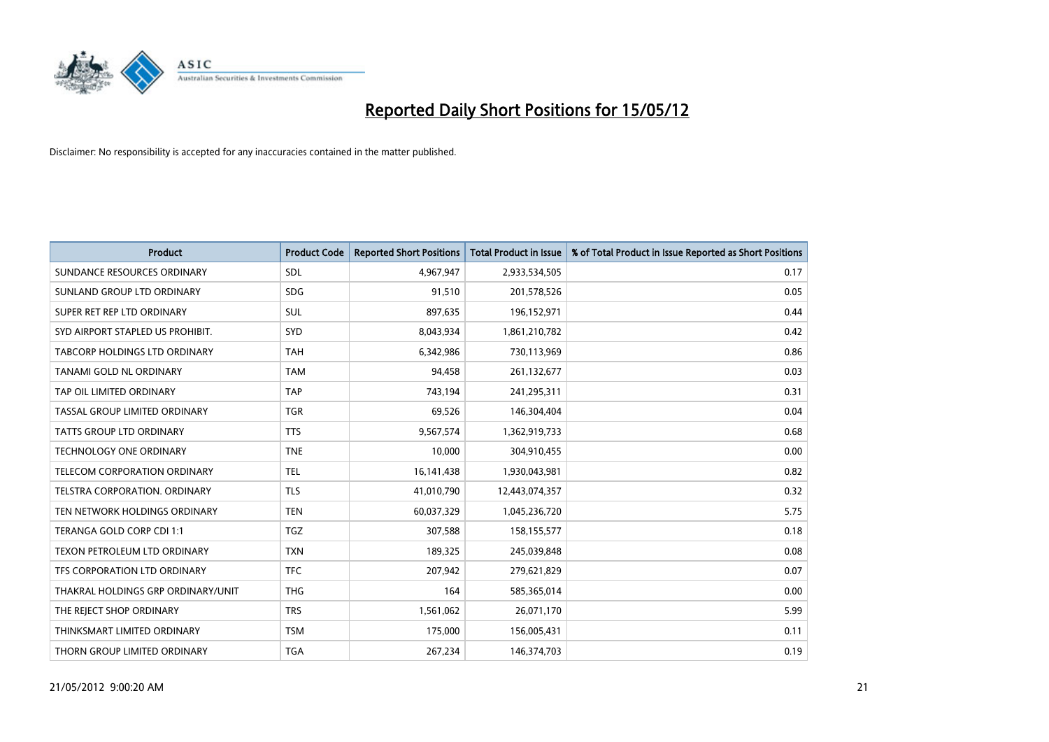

| <b>Product</b>                     | <b>Product Code</b> | <b>Reported Short Positions</b> | <b>Total Product in Issue</b> | % of Total Product in Issue Reported as Short Positions |
|------------------------------------|---------------------|---------------------------------|-------------------------------|---------------------------------------------------------|
| SUNDANCE RESOURCES ORDINARY        | SDL                 | 4,967,947                       | 2,933,534,505                 | 0.17                                                    |
| SUNLAND GROUP LTD ORDINARY         | <b>SDG</b>          | 91,510                          | 201,578,526                   | 0.05                                                    |
| SUPER RET REP LTD ORDINARY         | SUL                 | 897,635                         | 196,152,971                   | 0.44                                                    |
| SYD AIRPORT STAPLED US PROHIBIT.   | <b>SYD</b>          | 8,043,934                       | 1,861,210,782                 | 0.42                                                    |
| TABCORP HOLDINGS LTD ORDINARY      | <b>TAH</b>          | 6,342,986                       | 730,113,969                   | 0.86                                                    |
| TANAMI GOLD NL ORDINARY            | <b>TAM</b>          | 94,458                          | 261,132,677                   | 0.03                                                    |
| TAP OIL LIMITED ORDINARY           | <b>TAP</b>          | 743.194                         | 241,295,311                   | 0.31                                                    |
| TASSAL GROUP LIMITED ORDINARY      | <b>TGR</b>          | 69,526                          | 146,304,404                   | 0.04                                                    |
| <b>TATTS GROUP LTD ORDINARY</b>    | <b>TTS</b>          | 9,567,574                       | 1,362,919,733                 | 0.68                                                    |
| <b>TECHNOLOGY ONE ORDINARY</b>     | <b>TNE</b>          | 10,000                          | 304,910,455                   | 0.00                                                    |
| TELECOM CORPORATION ORDINARY       | <b>TEL</b>          | 16,141,438                      | 1,930,043,981                 | 0.82                                                    |
| TELSTRA CORPORATION. ORDINARY      | <b>TLS</b>          | 41,010,790                      | 12,443,074,357                | 0.32                                                    |
| TEN NETWORK HOLDINGS ORDINARY      | <b>TEN</b>          | 60,037,329                      | 1,045,236,720                 | 5.75                                                    |
| TERANGA GOLD CORP CDI 1:1          | <b>TGZ</b>          | 307,588                         | 158,155,577                   | 0.18                                                    |
| TEXON PETROLEUM LTD ORDINARY       | <b>TXN</b>          | 189,325                         | 245,039,848                   | 0.08                                                    |
| TFS CORPORATION LTD ORDINARY       | <b>TFC</b>          | 207,942                         | 279,621,829                   | 0.07                                                    |
| THAKRAL HOLDINGS GRP ORDINARY/UNIT | <b>THG</b>          | 164                             | 585,365,014                   | 0.00                                                    |
| THE REJECT SHOP ORDINARY           | <b>TRS</b>          | 1,561,062                       | 26,071,170                    | 5.99                                                    |
| THINKSMART LIMITED ORDINARY        | <b>TSM</b>          | 175,000                         | 156,005,431                   | 0.11                                                    |
| THORN GROUP LIMITED ORDINARY       | <b>TGA</b>          | 267,234                         | 146,374,703                   | 0.19                                                    |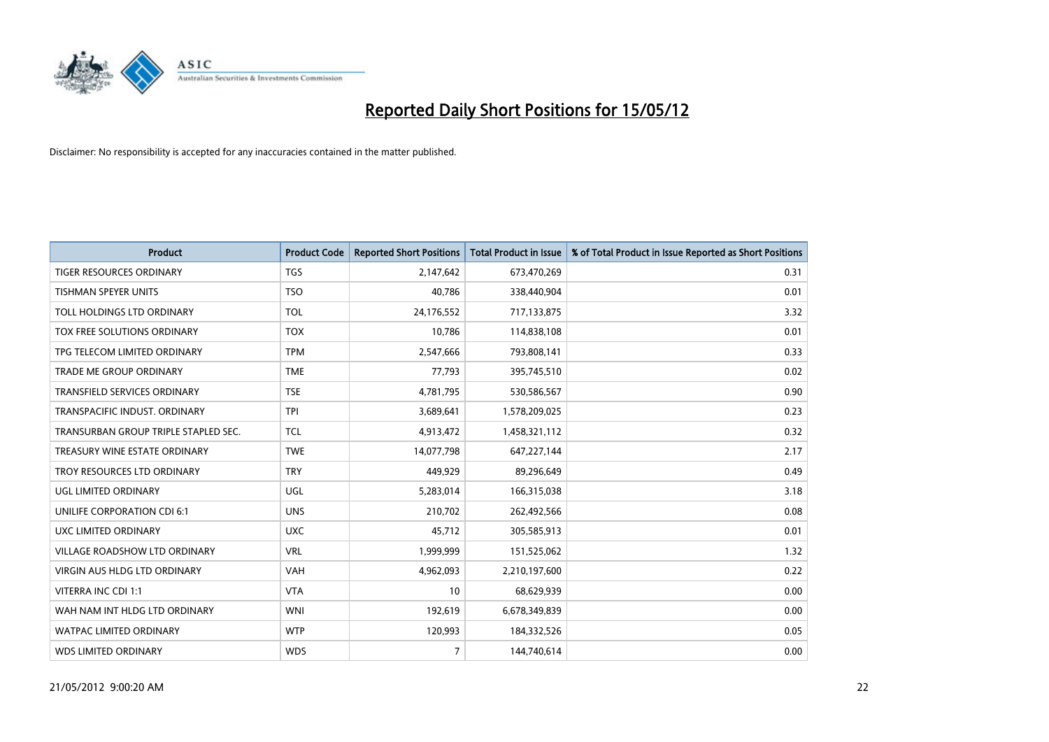

| <b>Product</b>                       | <b>Product Code</b> | <b>Reported Short Positions</b> | <b>Total Product in Issue</b> | % of Total Product in Issue Reported as Short Positions |
|--------------------------------------|---------------------|---------------------------------|-------------------------------|---------------------------------------------------------|
| <b>TIGER RESOURCES ORDINARY</b>      | <b>TGS</b>          | 2,147,642                       | 673,470,269                   | 0.31                                                    |
| <b>TISHMAN SPEYER UNITS</b>          | <b>TSO</b>          | 40,786                          | 338,440,904                   | 0.01                                                    |
| TOLL HOLDINGS LTD ORDINARY           | <b>TOL</b>          | 24,176,552                      | 717,133,875                   | 3.32                                                    |
| TOX FREE SOLUTIONS ORDINARY          | <b>TOX</b>          | 10,786                          | 114,838,108                   | 0.01                                                    |
| TPG TELECOM LIMITED ORDINARY         | <b>TPM</b>          | 2,547,666                       | 793,808,141                   | 0.33                                                    |
| TRADE ME GROUP ORDINARY              | <b>TME</b>          | 77,793                          | 395,745,510                   | 0.02                                                    |
| TRANSFIELD SERVICES ORDINARY         | <b>TSE</b>          | 4,781,795                       | 530,586,567                   | 0.90                                                    |
| TRANSPACIFIC INDUST. ORDINARY        | <b>TPI</b>          | 3,689,641                       | 1,578,209,025                 | 0.23                                                    |
| TRANSURBAN GROUP TRIPLE STAPLED SEC. | <b>TCL</b>          | 4,913,472                       | 1,458,321,112                 | 0.32                                                    |
| TREASURY WINE ESTATE ORDINARY        | <b>TWE</b>          | 14,077,798                      | 647,227,144                   | 2.17                                                    |
| TROY RESOURCES LTD ORDINARY          | <b>TRY</b>          | 449,929                         | 89,296,649                    | 0.49                                                    |
| UGL LIMITED ORDINARY                 | UGL                 | 5,283,014                       | 166,315,038                   | 3.18                                                    |
| UNILIFE CORPORATION CDI 6:1          | <b>UNS</b>          | 210,702                         | 262,492,566                   | 0.08                                                    |
| <b>UXC LIMITED ORDINARY</b>          | <b>UXC</b>          | 45,712                          | 305,585,913                   | 0.01                                                    |
| VILLAGE ROADSHOW LTD ORDINARY        | <b>VRL</b>          | 1,999,999                       | 151,525,062                   | 1.32                                                    |
| <b>VIRGIN AUS HLDG LTD ORDINARY</b>  | <b>VAH</b>          | 4,962,093                       | 2,210,197,600                 | 0.22                                                    |
| VITERRA INC CDI 1:1                  | <b>VTA</b>          | 10                              | 68,629,939                    | 0.00                                                    |
| WAH NAM INT HLDG LTD ORDINARY        | <b>WNI</b>          | 192,619                         | 6,678,349,839                 | 0.00                                                    |
| <b>WATPAC LIMITED ORDINARY</b>       | <b>WTP</b>          | 120,993                         | 184,332,526                   | 0.05                                                    |
| <b>WDS LIMITED ORDINARY</b>          | <b>WDS</b>          | $\overline{7}$                  | 144,740,614                   | 0.00                                                    |